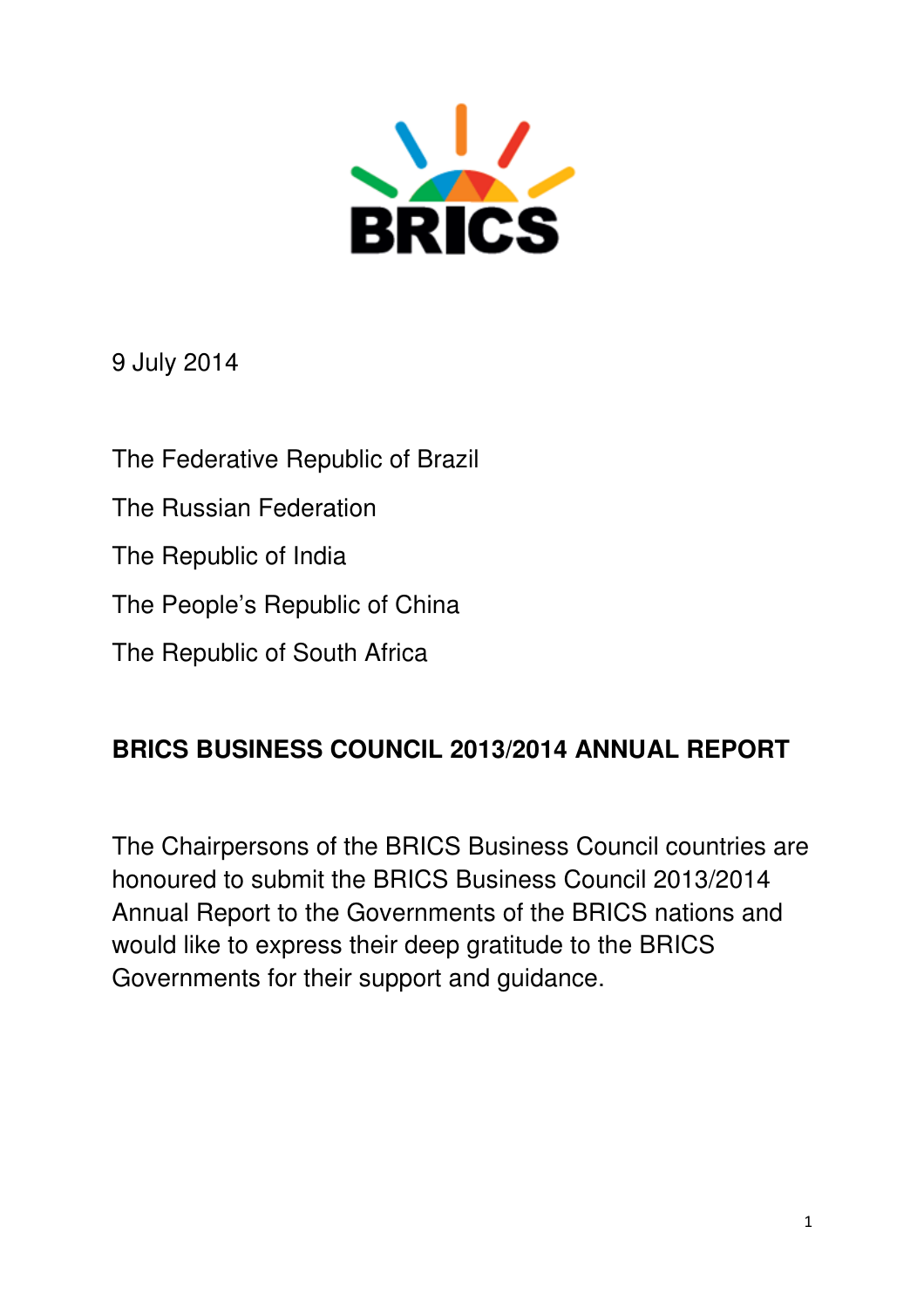

9 July 2014

The Federative Republic of Brazil

The Russian Federation

The Republic of India

The People's Republic of China

The Republic of South Africa

# **BRICS BUSINESS COUNCIL 2013/2014 ANNUAL REPORT**

The Chairpersons of the BRICS Business Council countries are honoured to submit the BRICS Business Council 2013/2014 Annual Report to the Governments of the BRICS nations and would like to express their deep gratitude to the BRICS Governments for their support and guidance.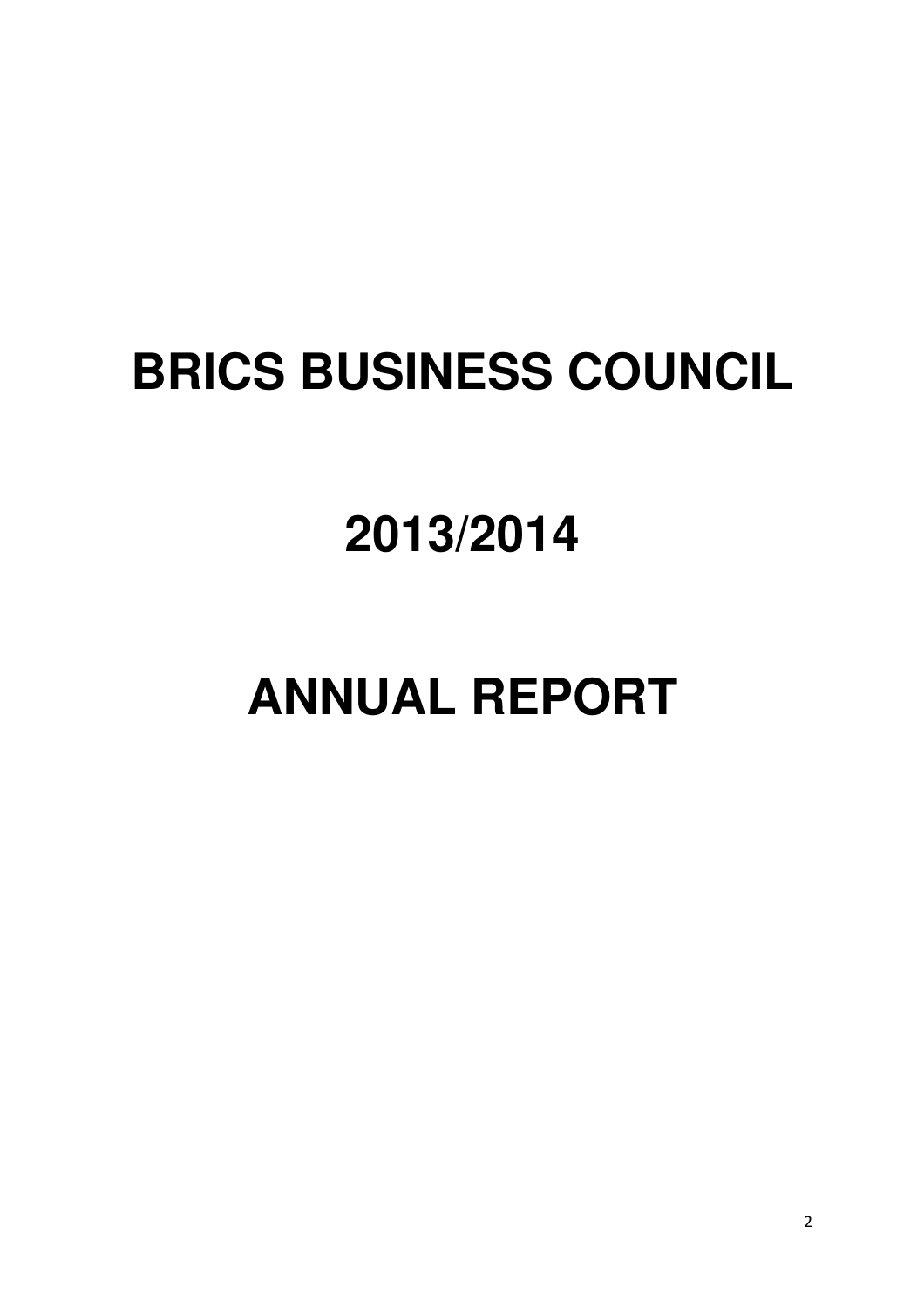# **BRICS BUSINESS COUNCIL**

# **2013/2014**

# **ANNUAL REPORT**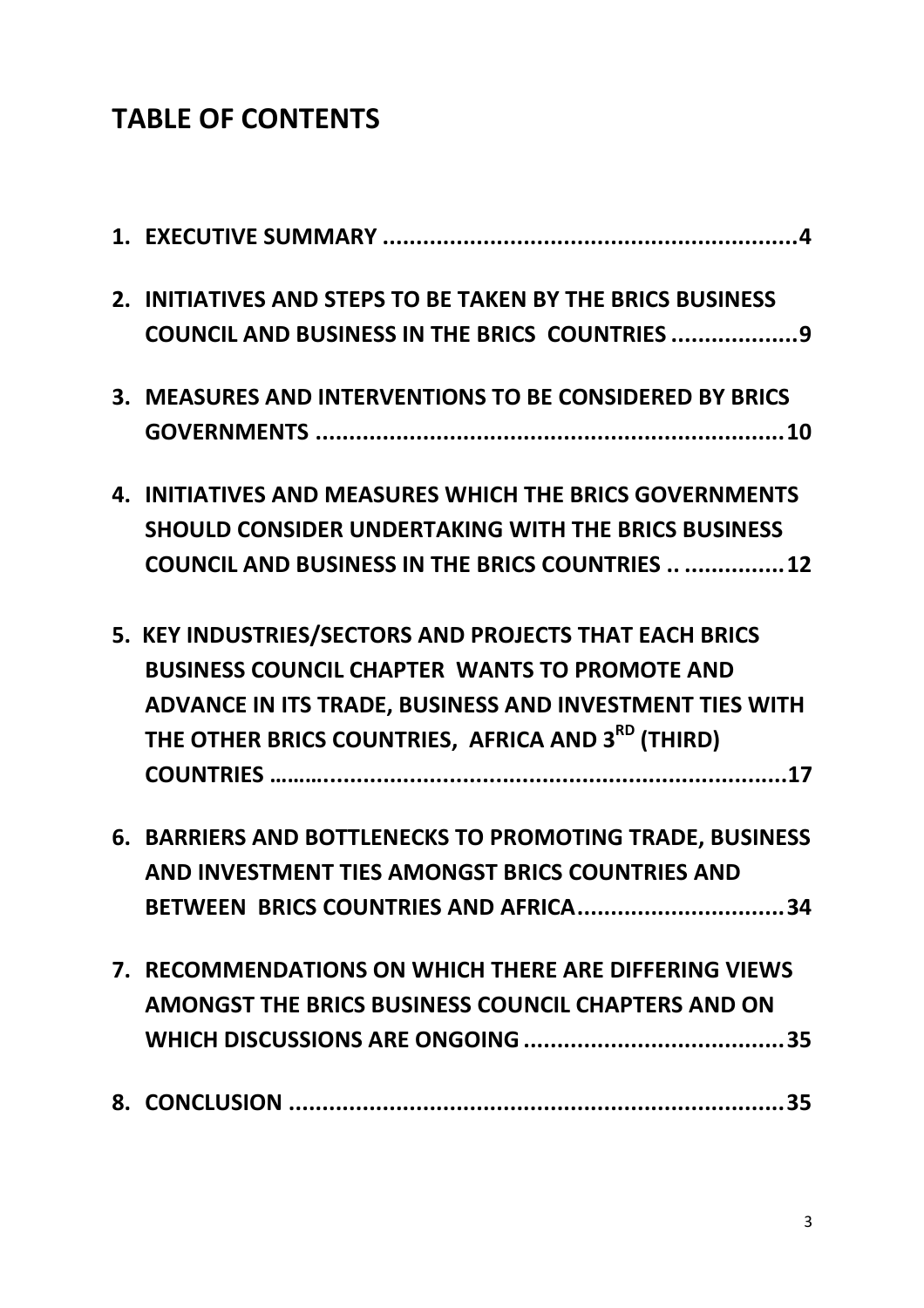# TABLE OF CONTENTS

|  | 2. INITIATIVES AND STEPS TO BE TAKEN BY THE BRICS BUSINESS    |
|--|---------------------------------------------------------------|
|  | COUNCIL AND BUSINESS IN THE BRICS COUNTRIES  9                |
|  | 3. MEASURES AND INTERVENTIONS TO BE CONSIDERED BY BRICS       |
|  |                                                               |
|  | 4. INITIATIVES AND MEASURES WHICH THE BRICS GOVERNMENTS       |
|  | <b>SHOULD CONSIDER UNDERTAKING WITH THE BRICS BUSINESS</b>    |
|  | <b>COUNCIL AND BUSINESS IN THE BRICS COUNTRIES   12</b>       |
|  | 5. KEY INDUSTRIES/SECTORS AND PROJECTS THAT EACH BRICS        |
|  | <b>BUSINESS COUNCIL CHAPTER WANTS TO PROMOTE AND</b>          |
|  | ADVANCE IN ITS TRADE, BUSINESS AND INVESTMENT TIES WITH       |
|  | THE OTHER BRICS COUNTRIES, AFRICA AND 3 <sup>RD</sup> (THIRD) |
|  |                                                               |
|  | 6. BARRIERS AND BOTTLENECKS TO PROMOTING TRADE, BUSINESS      |
|  | AND INVESTMENT TIES AMONGST BRICS COUNTRIES AND               |
|  | BETWEEN BRICS COUNTRIES AND AFRICA34                          |
|  | 7. RECOMMENDATIONS ON WHICH THERE ARE DIFFERING VIEWS         |
|  | AMONGST THE BRICS BUSINESS COUNCIL CHAPTERS AND ON            |
|  |                                                               |
|  |                                                               |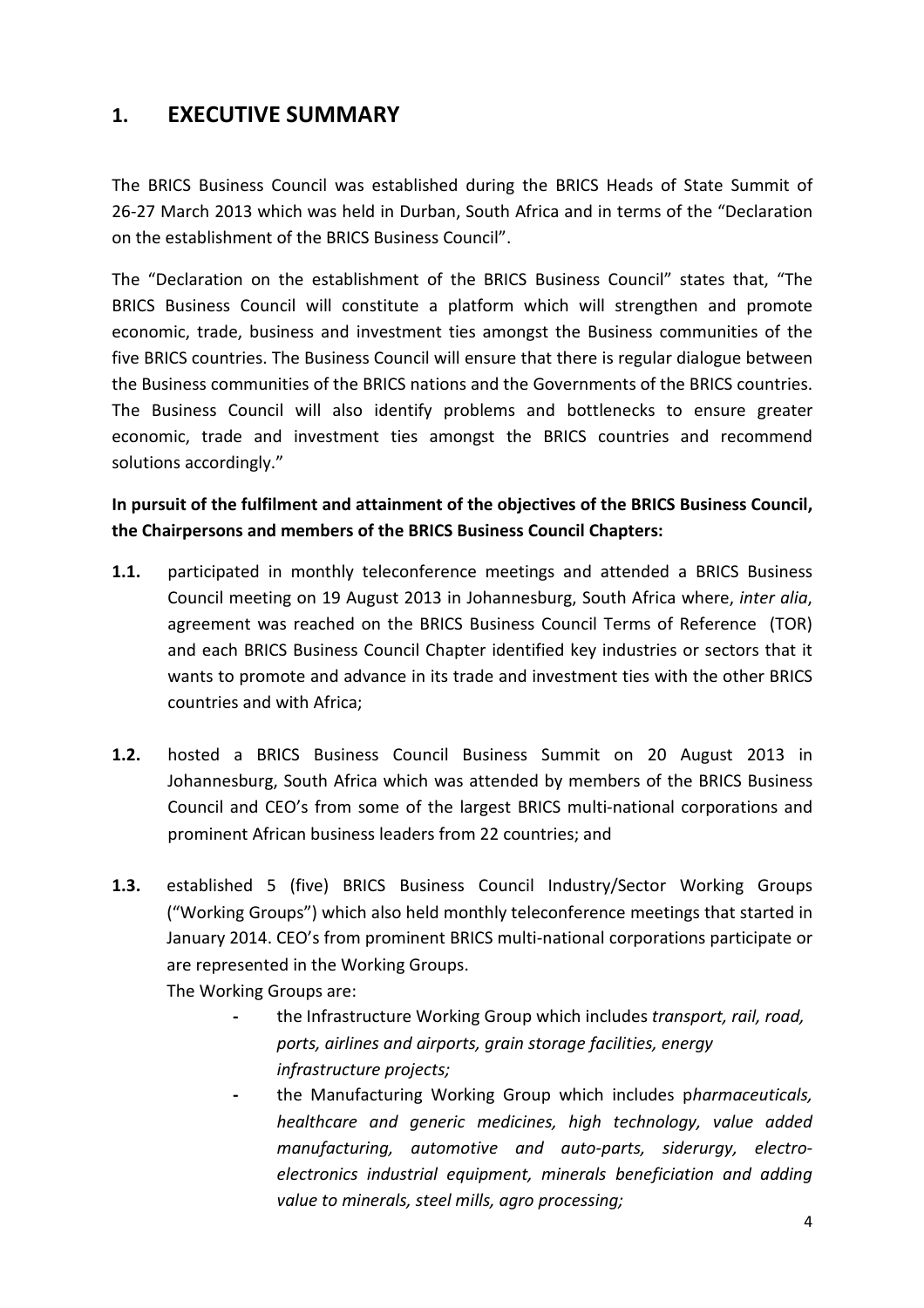# 1. EXECUTIVE SUMMARY

The BRICS Business Council was established during the BRICS Heads of State Summit of 26-27 March 2013 which was held in Durban, South Africa and in terms of the "Declaration on the establishment of the BRICS Business Council".

The "Declaration on the establishment of the BRICS Business Council" states that, "The BRICS Business Council will constitute a platform which will strengthen and promote economic, trade, business and investment ties amongst the Business communities of the five BRICS countries. The Business Council will ensure that there is regular dialogue between the Business communities of the BRICS nations and the Governments of the BRICS countries. The Business Council will also identify problems and bottlenecks to ensure greater economic, trade and investment ties amongst the BRICS countries and recommend solutions accordingly."

# In pursuit of the fulfilment and attainment of the objectives of the BRICS Business Council, the Chairpersons and members of the BRICS Business Council Chapters:

- 1.1. participated in monthly teleconference meetings and attended a BRICS Business Council meeting on 19 August 2013 in Johannesburg, South Africa where, inter alia, agreement was reached on the BRICS Business Council Terms of Reference (TOR) and each BRICS Business Council Chapter identified key industries or sectors that it wants to promote and advance in its trade and investment ties with the other BRICS countries and with Africa;
- 1.2. hosted a BRICS Business Council Business Summit on 20 August 2013 in Johannesburg, South Africa which was attended by members of the BRICS Business Council and CEO's from some of the largest BRICS multi-national corporations and prominent African business leaders from 22 countries; and
- 1.3. established 5 (five) BRICS Business Council Industry/Sector Working Groups ("Working Groups") which also held monthly teleconference meetings that started in January 2014. CEO's from prominent BRICS multi-national corporations participate or are represented in the Working Groups.

The Working Groups are:

- the Infrastructure Working Group which includes transport, rail, road, ports, airlines and airports, grain storage facilities, energy infrastructure projects;
- the Manufacturing Working Group which includes pharmaceuticals, healthcare and generic medicines, high technology, value added manufacturing, automotive and auto-parts, siderurgy, electroelectronics industrial equipment, minerals beneficiation and adding value to minerals, steel mills, agro processing;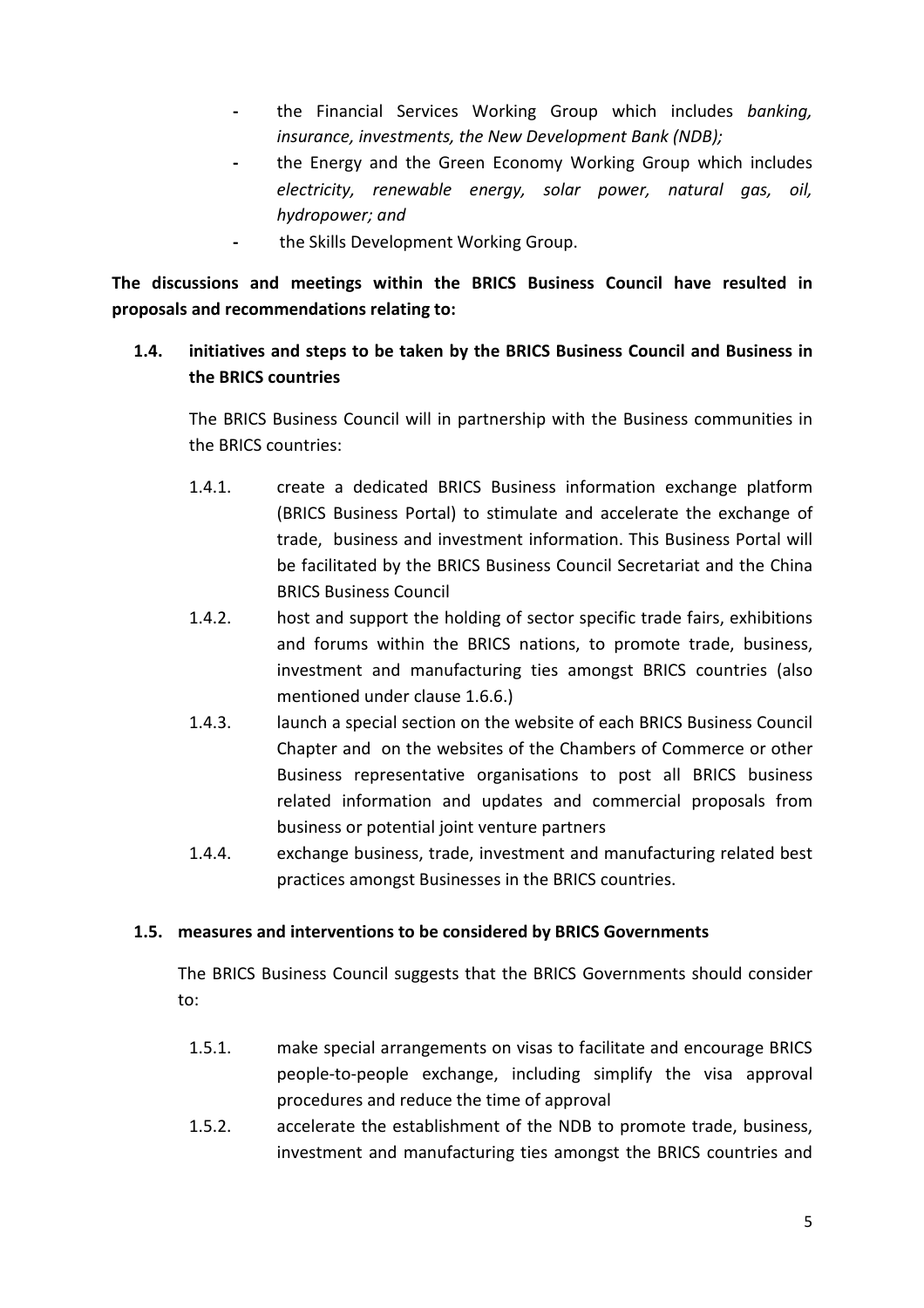- the Financial Services Working Group which includes banking, insurance, investments, the New Development Bank (NDB);
- the Energy and the Green Economy Working Group which includes electricity, renewable energy, solar power, natural gas, oil, hydropower; and
- the Skills Development Working Group.

The discussions and meetings within the BRICS Business Council have resulted in proposals and recommendations relating to:

### 1.4. initiatives and steps to be taken by the BRICS Business Council and Business in the BRICS countries

The BRICS Business Council will in partnership with the Business communities in the BRICS countries:

- 1.4.1. create a dedicated BRICS Business information exchange platform (BRICS Business Portal) to stimulate and accelerate the exchange of trade, business and investment information. This Business Portal will be facilitated by the BRICS Business Council Secretariat and the China BRICS Business Council
- 1.4.2. host and support the holding of sector specific trade fairs, exhibitions and forums within the BRICS nations, to promote trade, business, investment and manufacturing ties amongst BRICS countries (also mentioned under clause 1.6.6.)
- 1.4.3. launch a special section on the website of each BRICS Business Council Chapter and on the websites of the Chambers of Commerce or other Business representative organisations to post all BRICS business related information and updates and commercial proposals from business or potential joint venture partners
- 1.4.4. exchange business, trade, investment and manufacturing related best practices amongst Businesses in the BRICS countries.

#### 1.5. measures and interventions to be considered by BRICS Governments

The BRICS Business Council suggests that the BRICS Governments should consider to:

- 1.5.1. make special arrangements on visas to facilitate and encourage BRICS people-to-people exchange, including simplify the visa approval procedures and reduce the time of approval
- 1.5.2. accelerate the establishment of the NDB to promote trade, business, investment and manufacturing ties amongst the BRICS countries and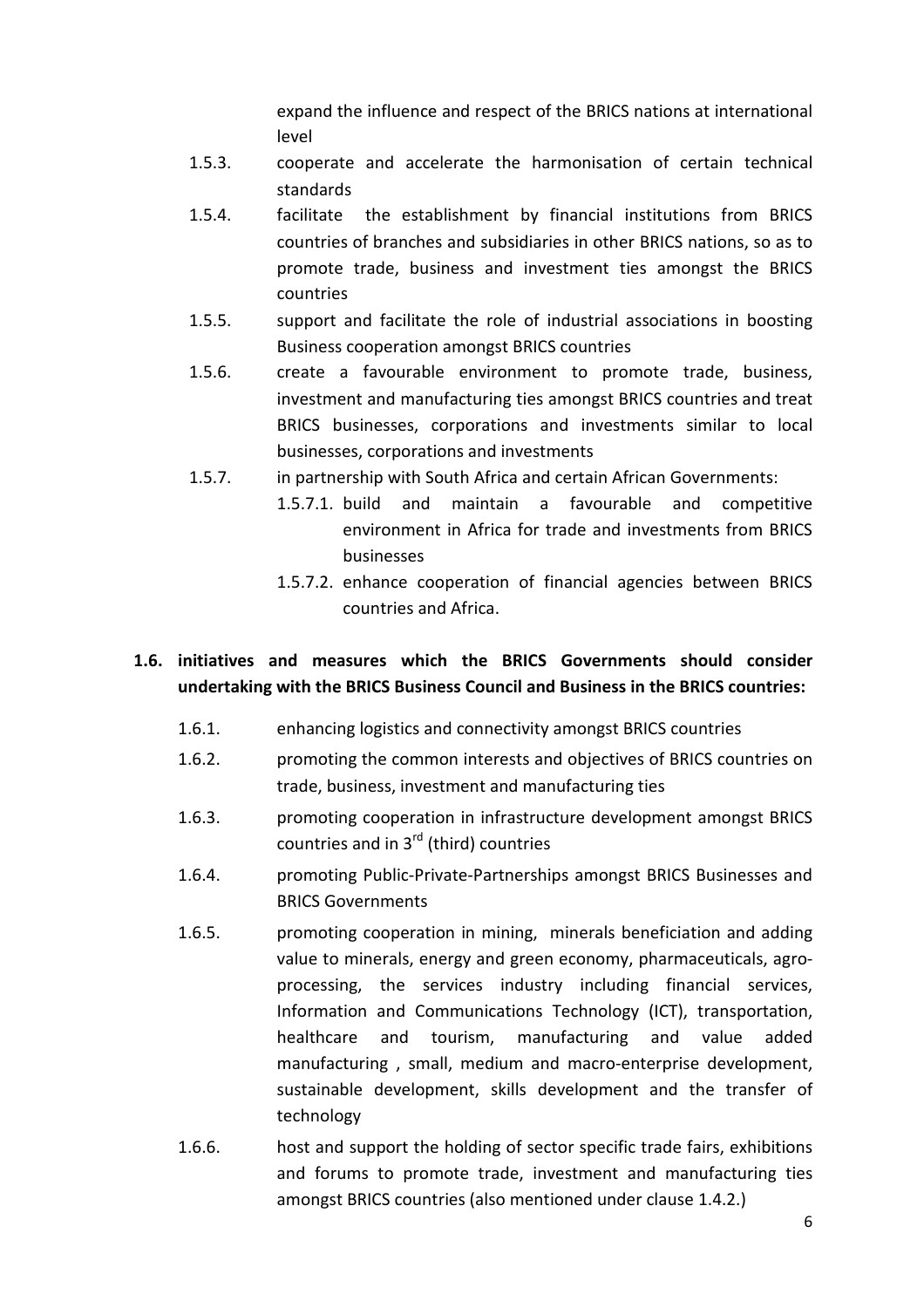expand the influence and respect of the BRICS nations at international level

- 1.5.3. cooperate and accelerate the harmonisation of certain technical standards
- 1.5.4. facilitate the establishment by financial institutions from BRICS countries of branches and subsidiaries in other BRICS nations, so as to promote trade, business and investment ties amongst the BRICS countries
- 1.5.5. support and facilitate the role of industrial associations in boosting Business cooperation amongst BRICS countries
- 1.5.6. create a favourable environment to promote trade, business, investment and manufacturing ties amongst BRICS countries and treat BRICS businesses, corporations and investments similar to local businesses, corporations and investments
- 1.5.7. in partnership with South Africa and certain African Governments:
	- 1.5.7.1. build and maintain a favourable and competitive environment in Africa for trade and investments from BRICS businesses
		- 1.5.7.2. enhance cooperation of financial agencies between BRICS countries and Africa.

# 1.6. initiatives and measures which the BRICS Governments should consider undertaking with the BRICS Business Council and Business in the BRICS countries:

- 1.6.1. enhancing logistics and connectivity amongst BRICS countries
- 1.6.2. promoting the common interests and objectives of BRICS countries on trade, business, investment and manufacturing ties
- 1.6.3. promoting cooperation in infrastructure development amongst BRICS countries and in 3<sup>rd</sup> (third) countries
- 1.6.4. promoting Public-Private-Partnerships amongst BRICS Businesses and BRICS Governments
- 1.6.5. promoting cooperation in mining, minerals beneficiation and adding value to minerals, energy and green economy, pharmaceuticals, agroprocessing, the services industry including financial services, Information and Communications Technology (ICT), transportation, healthcare and tourism, manufacturing and value added manufacturing , small, medium and macro-enterprise development, sustainable development, skills development and the transfer of technology
- 1.6.6. host and support the holding of sector specific trade fairs, exhibitions and forums to promote trade, investment and manufacturing ties amongst BRICS countries (also mentioned under clause 1.4.2.)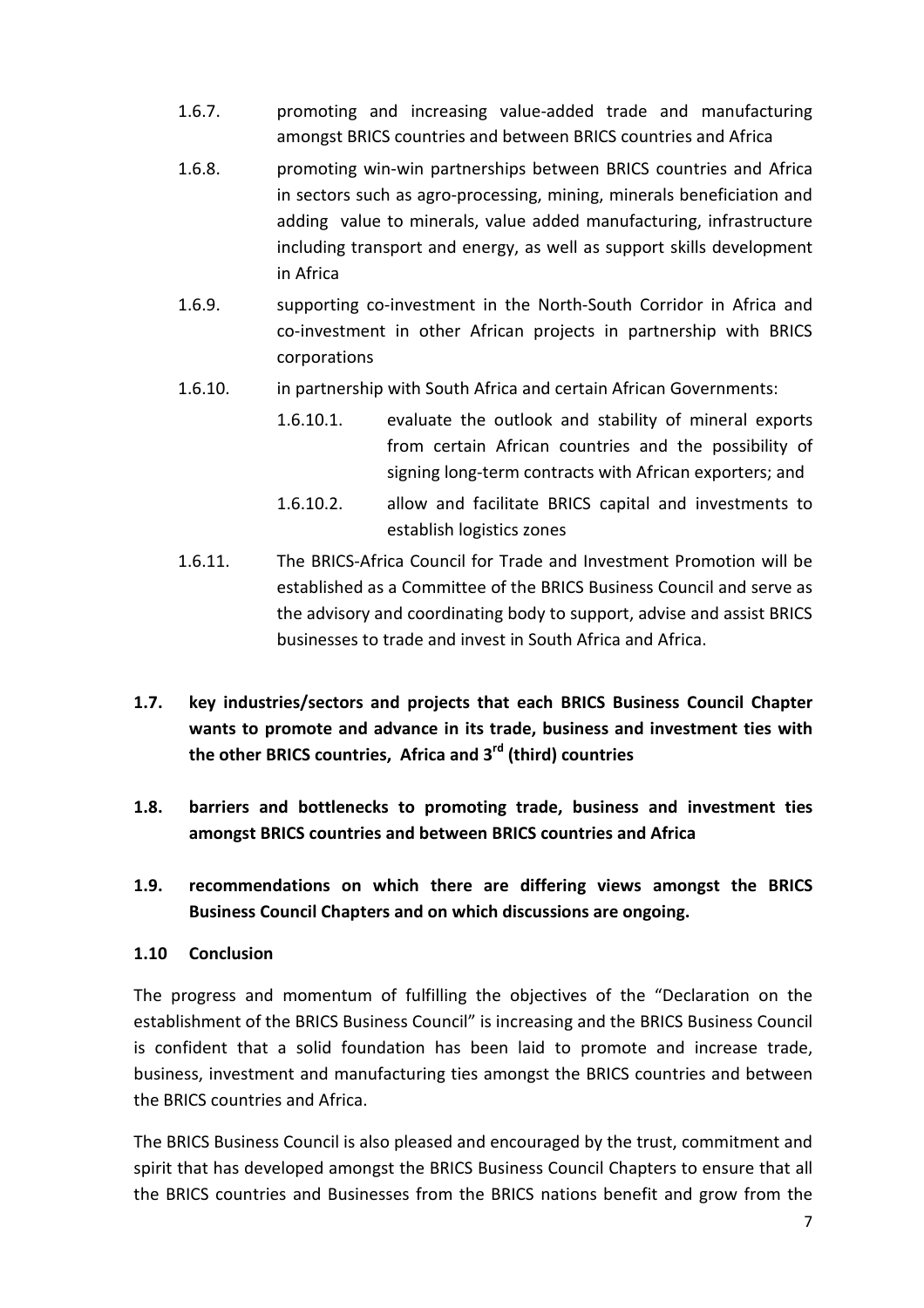- 1.6.7. promoting and increasing value-added trade and manufacturing amongst BRICS countries and between BRICS countries and Africa
- 1.6.8. promoting win-win partnerships between BRICS countries and Africa in sectors such as agro-processing, mining, minerals beneficiation and adding value to minerals, value added manufacturing, infrastructure including transport and energy, as well as support skills development in Africa
- 1.6.9. supporting co-investment in the North-South Corridor in Africa and co-investment in other African projects in partnership with BRICS corporations
- 1.6.10. in partnership with South Africa and certain African Governments:
	- 1.6.10.1. evaluate the outlook and stability of mineral exports from certain African countries and the possibility of signing long-term contracts with African exporters; and
	- 1.6.10.2. allow and facilitate BRICS capital and investments to establish logistics zones
- 1.6.11. The BRICS-Africa Council for Trade and Investment Promotion will be established as a Committee of the BRICS Business Council and serve as the advisory and coordinating body to support, advise and assist BRICS businesses to trade and invest in South Africa and Africa.
- 1.7. key industries/sectors and projects that each BRICS Business Council Chapter wants to promote and advance in its trade, business and investment ties with the other BRICS countries, Africa and 3<sup>rd</sup> (third) countries
- 1.8. barriers and bottlenecks to promoting trade, business and investment ties amongst BRICS countries and between BRICS countries and Africa
- 1.9. recommendations on which there are differing views amongst the BRICS Business Council Chapters and on which discussions are ongoing.
- 1.10 Conclusion

The progress and momentum of fulfilling the objectives of the "Declaration on the establishment of the BRICS Business Council" is increasing and the BRICS Business Council is confident that a solid foundation has been laid to promote and increase trade, business, investment and manufacturing ties amongst the BRICS countries and between the BRICS countries and Africa.

The BRICS Business Council is also pleased and encouraged by the trust, commitment and spirit that has developed amongst the BRICS Business Council Chapters to ensure that all the BRICS countries and Businesses from the BRICS nations benefit and grow from the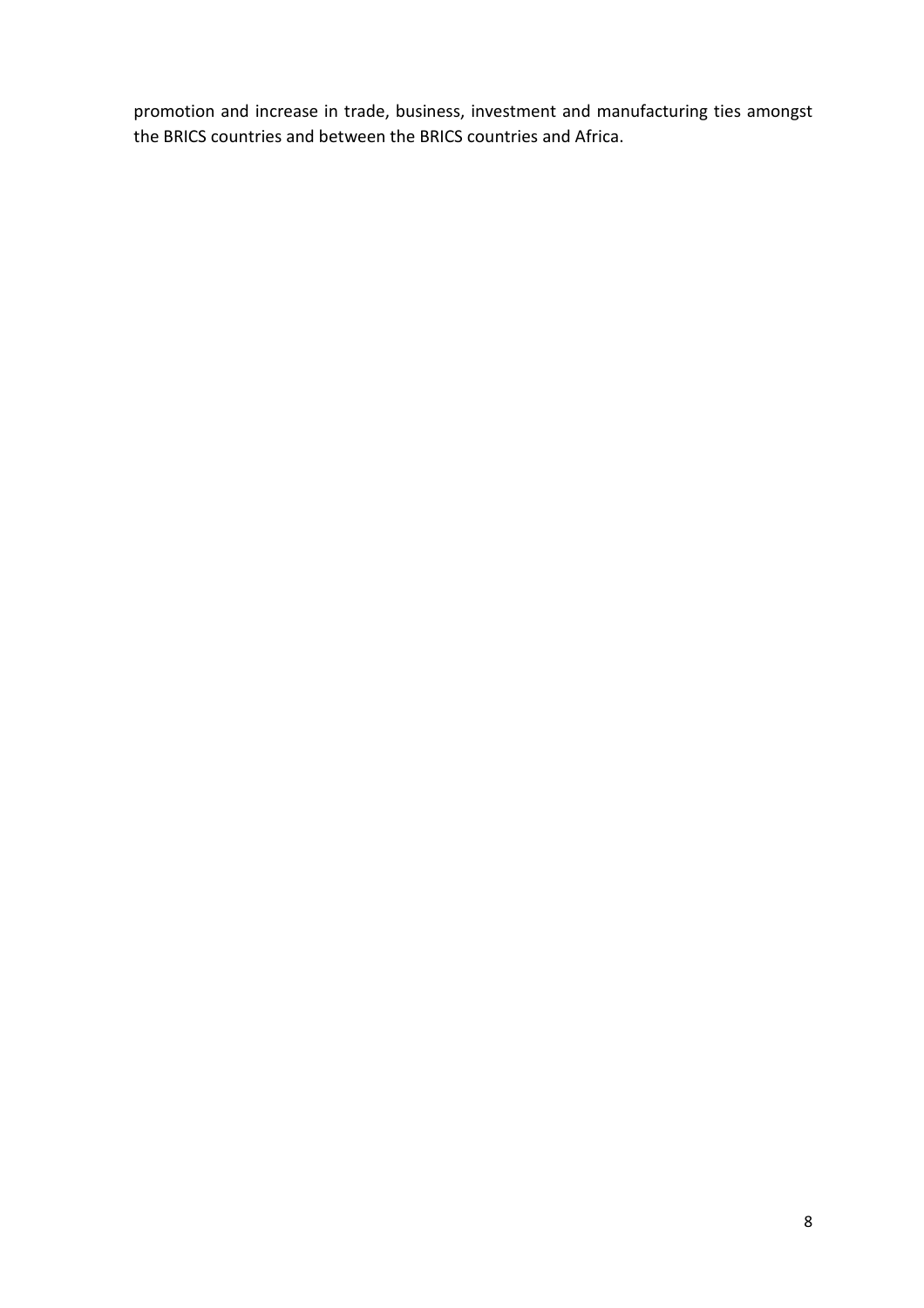promotion and increase in trade, business, investment and manufacturing ties amongst the BRICS countries and between the BRICS countries and Africa.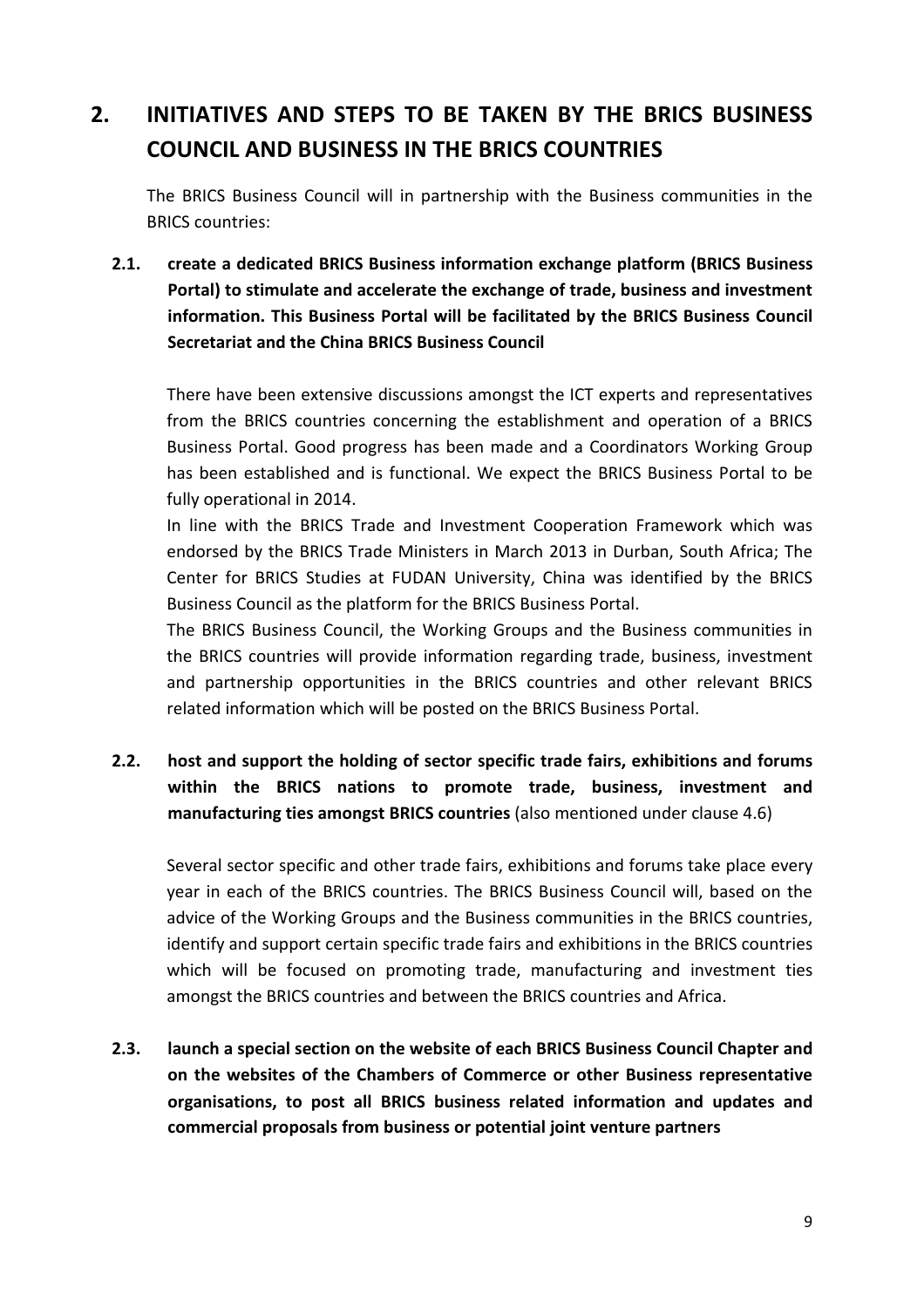# 2. INITIATIVES AND STEPS TO BE TAKEN BY THE BRICS BUSINESS COUNCIL AND BUSINESS IN THE BRICS COUNTRIES

The BRICS Business Council will in partnership with the Business communities in the BRICS countries:

2.1. create a dedicated BRICS Business information exchange platform (BRICS Business Portal) to stimulate and accelerate the exchange of trade, business and investment information. This Business Portal will be facilitated by the BRICS Business Council Secretariat and the China BRICS Business Council

There have been extensive discussions amongst the ICT experts and representatives from the BRICS countries concerning the establishment and operation of a BRICS Business Portal. Good progress has been made and a Coordinators Working Group has been established and is functional. We expect the BRICS Business Portal to be fully operational in 2014.

In line with the BRICS Trade and Investment Cooperation Framework which was endorsed by the BRICS Trade Ministers in March 2013 in Durban, South Africa; The Center for BRICS Studies at FUDAN University, China was identified by the BRICS Business Council as the platform for the BRICS Business Portal.

The BRICS Business Council, the Working Groups and the Business communities in the BRICS countries will provide information regarding trade, business, investment and partnership opportunities in the BRICS countries and other relevant BRICS related information which will be posted on the BRICS Business Portal.

# 2.2. host and support the holding of sector specific trade fairs, exhibitions and forums within the BRICS nations to promote trade, business, investment and manufacturing ties amongst BRICS countries (also mentioned under clause 4.6)

Several sector specific and other trade fairs, exhibitions and forums take place every year in each of the BRICS countries. The BRICS Business Council will, based on the advice of the Working Groups and the Business communities in the BRICS countries, identify and support certain specific trade fairs and exhibitions in the BRICS countries which will be focused on promoting trade, manufacturing and investment ties amongst the BRICS countries and between the BRICS countries and Africa.

2.3. launch a special section on the website of each BRICS Business Council Chapter and on the websites of the Chambers of Commerce or other Business representative organisations, to post all BRICS business related information and updates and commercial proposals from business or potential joint venture partners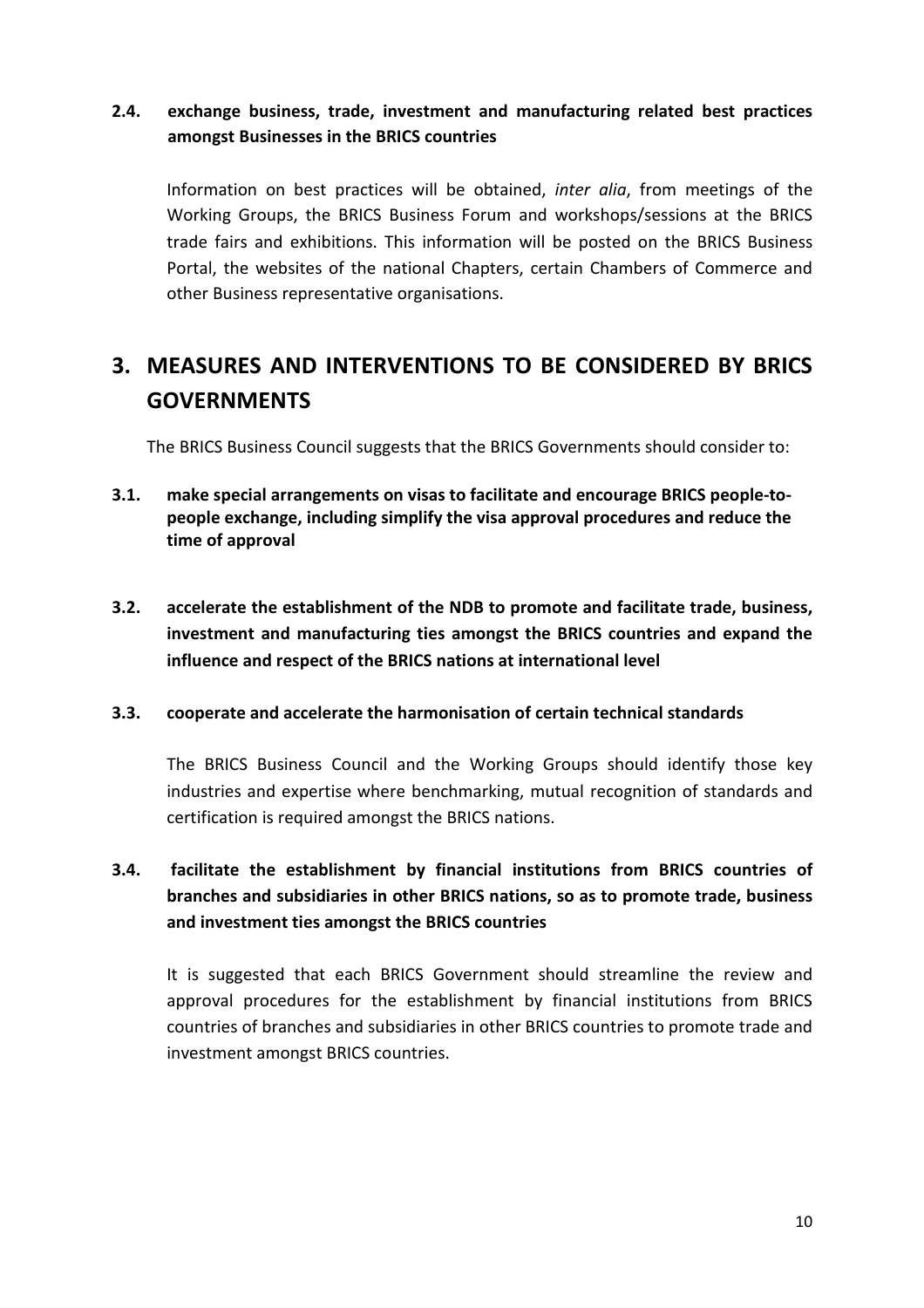# 2.4. exchange business, trade, investment and manufacturing related best practices amongst Businesses in the BRICS countries

Information on best practices will be obtained, inter alia, from meetings of the Working Groups, the BRICS Business Forum and workshops/sessions at the BRICS trade fairs and exhibitions. This information will be posted on the BRICS Business Portal, the websites of the national Chapters, certain Chambers of Commerce and other Business representative organisations.

# 3. MEASURES AND INTERVENTIONS TO BE CONSIDERED BY BRICS **GOVERNMENTS**

The BRICS Business Council suggests that the BRICS Governments should consider to:

- 3.1. make special arrangements on visas to facilitate and encourage BRICS people-topeople exchange, including simplify the visa approval procedures and reduce the time of approval
- 3.2. accelerate the establishment of the NDB to promote and facilitate trade, business, investment and manufacturing ties amongst the BRICS countries and expand the influence and respect of the BRICS nations at international level

#### 3.3. cooperate and accelerate the harmonisation of certain technical standards

The BRICS Business Council and the Working Groups should identify those key industries and expertise where benchmarking, mutual recognition of standards and certification is required amongst the BRICS nations.

# 3.4. facilitate the establishment by financial institutions from BRICS countries of branches and subsidiaries in other BRICS nations, so as to promote trade, business and investment ties amongst the BRICS countries

It is suggested that each BRICS Government should streamline the review and approval procedures for the establishment by financial institutions from BRICS countries of branches and subsidiaries in other BRICS countries to promote trade and investment amongst BRICS countries.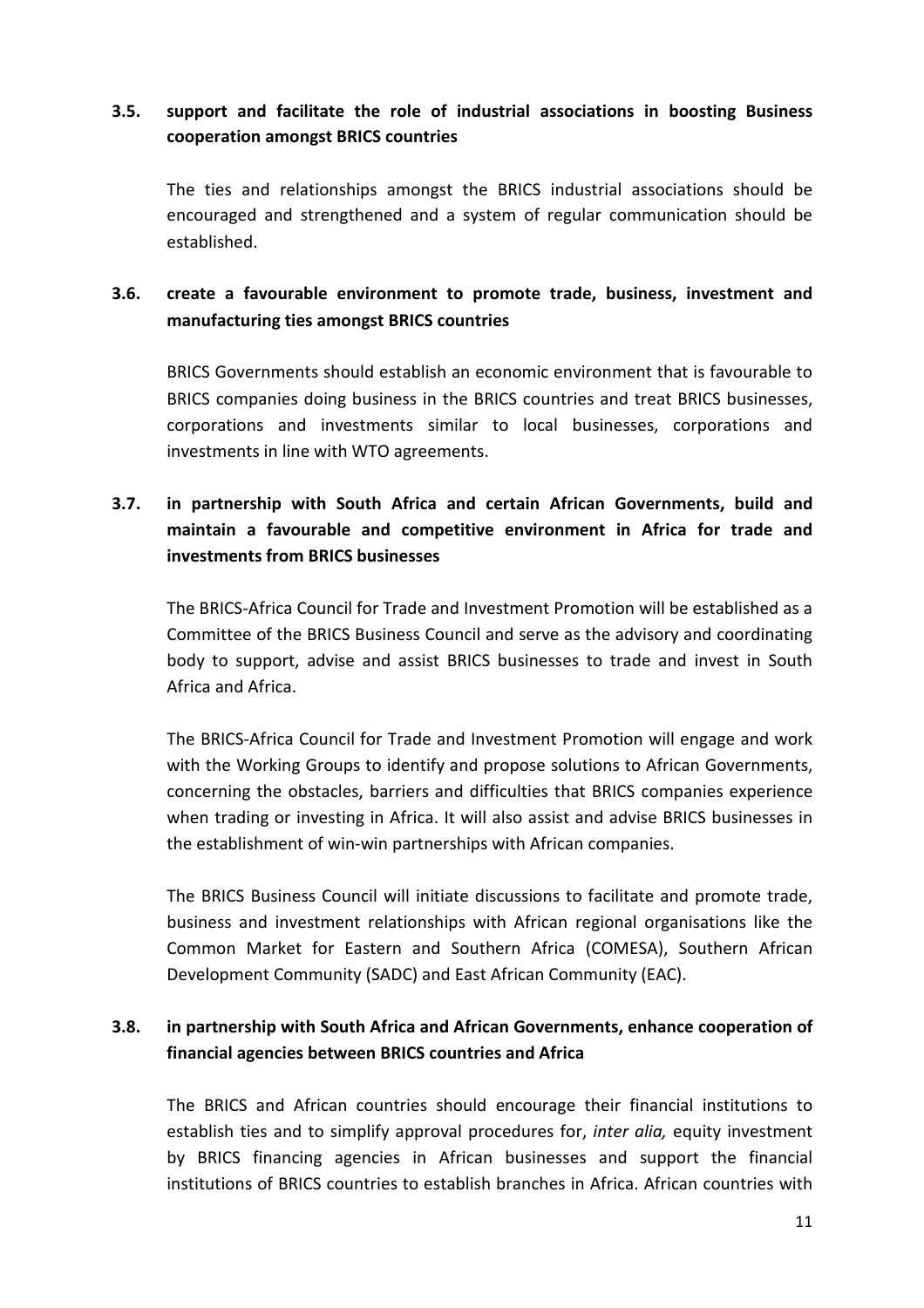# 3.5. support and facilitate the role of industrial associations in boosting Business cooperation amongst BRICS countries

The ties and relationships amongst the BRICS industrial associations should be encouraged and strengthened and a system of regular communication should be established.

## 3.6. create a favourable environment to promote trade, business, investment and manufacturing ties amongst BRICS countries

BRICS Governments should establish an economic environment that is favourable to BRICS companies doing business in the BRICS countries and treat BRICS businesses, corporations and investments similar to local businesses, corporations and investments in line with WTO agreements.

# 3.7. in partnership with South Africa and certain African Governments, build and maintain a favourable and competitive environment in Africa for trade and investments from BRICS businesses

The BRICS-Africa Council for Trade and Investment Promotion will be established as a Committee of the BRICS Business Council and serve as the advisory and coordinating body to support, advise and assist BRICS businesses to trade and invest in South Africa and Africa.

The BRICS-Africa Council for Trade and Investment Promotion will engage and work with the Working Groups to identify and propose solutions to African Governments, concerning the obstacles, barriers and difficulties that BRICS companies experience when trading or investing in Africa. It will also assist and advise BRICS businesses in the establishment of win-win partnerships with African companies.

The BRICS Business Council will initiate discussions to facilitate and promote trade, business and investment relationships with African regional organisations like the Common Market for Eastern and Southern Africa (COMESA), Southern African Development Community (SADC) and East African Community (EAC).

## 3.8. in partnership with South Africa and African Governments, enhance cooperation of financial agencies between BRICS countries and Africa

The BRICS and African countries should encourage their financial institutions to establish ties and to simplify approval procedures for, *inter alia*, equity investment by BRICS financing agencies in African businesses and support the financial institutions of BRICS countries to establish branches in Africa. African countries with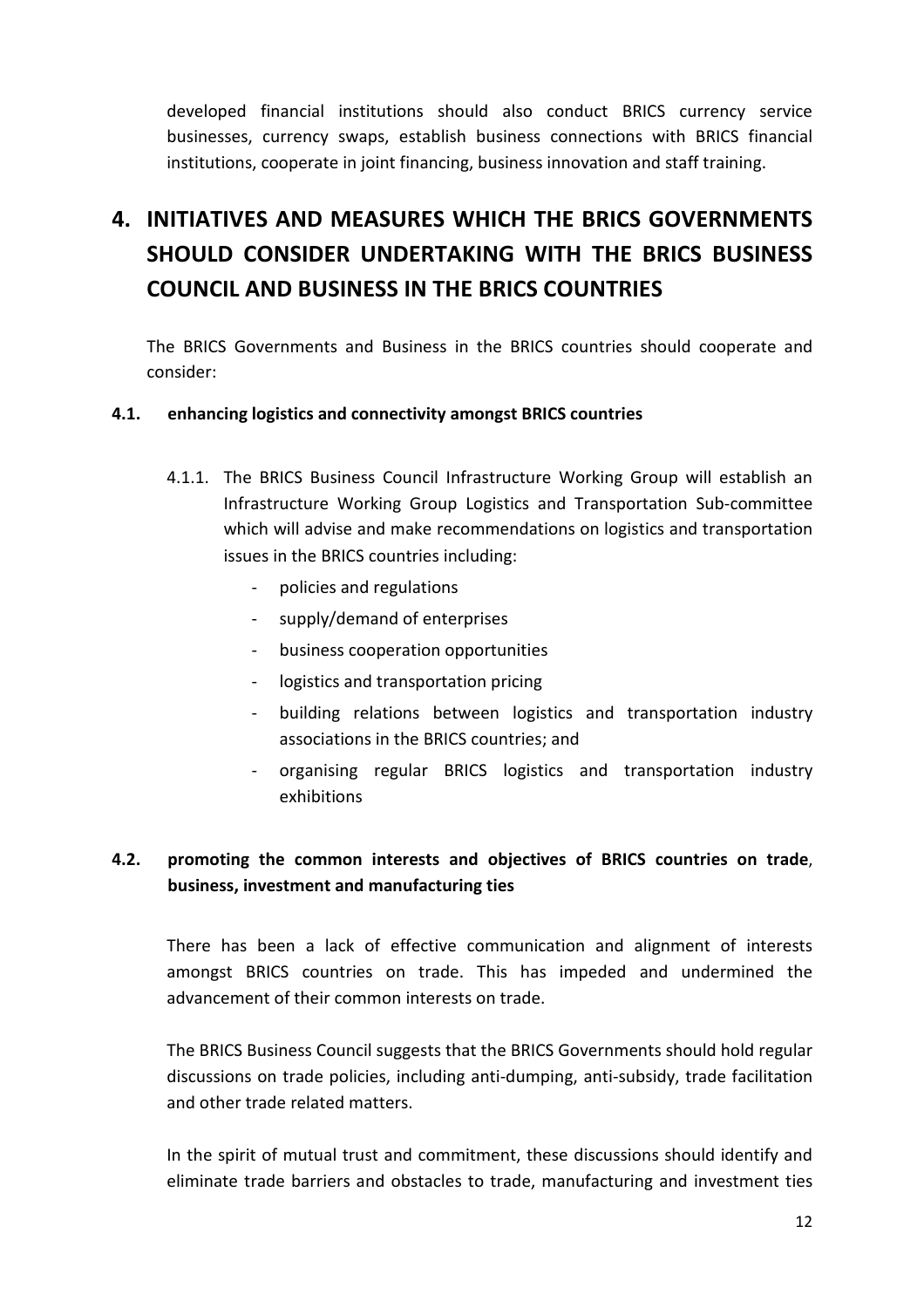developed financial institutions should also conduct BRICS currency service businesses, currency swaps, establish business connections with BRICS financial institutions, cooperate in joint financing, business innovation and staff training.

# 4. INITIATIVES AND MEASURES WHICH THE BRICS GOVERNMENTS SHOULD CONSIDER UNDERTAKING WITH THE BRICS BUSINESS COUNCIL AND BUSINESS IN THE BRICS COUNTRIES

The BRICS Governments and Business in the BRICS countries should cooperate and consider:

#### 4.1. enhancing logistics and connectivity amongst BRICS countries

- 4.1.1. The BRICS Business Council Infrastructure Working Group will establish an Infrastructure Working Group Logistics and Transportation Sub-committee which will advise and make recommendations on logistics and transportation issues in the BRICS countries including:
	- policies and regulations
	- supply/demand of enterprises
	- business cooperation opportunities
	- logistics and transportation pricing
	- building relations between logistics and transportation industry associations in the BRICS countries; and
	- organising regular BRICS logistics and transportation industry exhibitions

## 4.2. promoting the common interests and objectives of BRICS countries on trade, business, investment and manufacturing ties

There has been a lack of effective communication and alignment of interests amongst BRICS countries on trade. This has impeded and undermined the advancement of their common interests on trade.

The BRICS Business Council suggests that the BRICS Governments should hold regular discussions on trade policies, including anti-dumping, anti-subsidy, trade facilitation and other trade related matters.

In the spirit of mutual trust and commitment, these discussions should identify and eliminate trade barriers and obstacles to trade, manufacturing and investment ties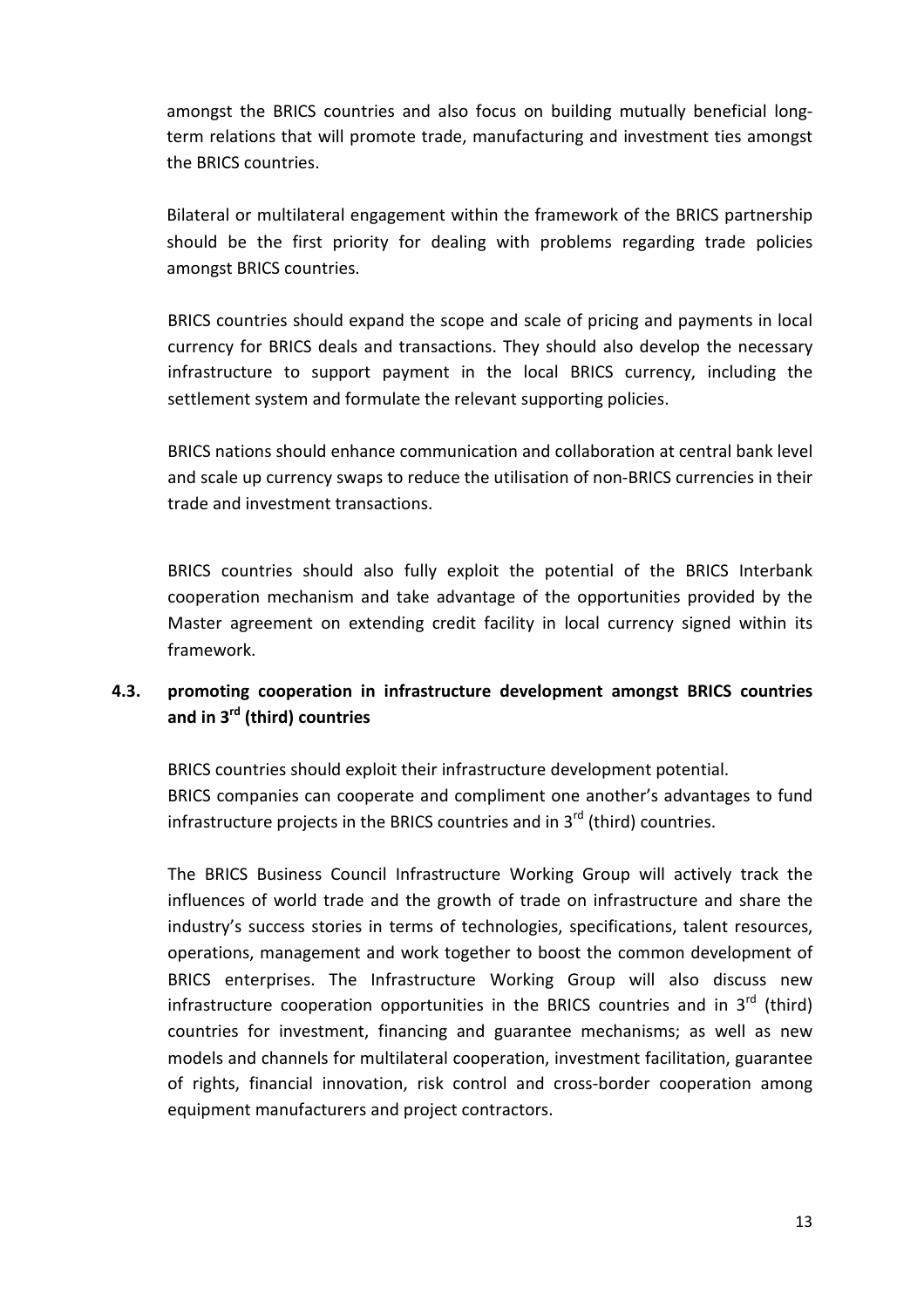amongst the BRICS countries and also focus on building mutually beneficial longterm relations that will promote trade, manufacturing and investment ties amongst the BRICS countries.

Bilateral or multilateral engagement within the framework of the BRICS partnership should be the first priority for dealing with problems regarding trade policies amongst BRICS countries.

BRICS countries should expand the scope and scale of pricing and payments in local currency for BRICS deals and transactions. They should also develop the necessary infrastructure to support payment in the local BRICS currency, including the settlement system and formulate the relevant supporting policies.

BRICS nations should enhance communication and collaboration at central bank level and scale up currency swaps to reduce the utilisation of non-BRICS currencies in their trade and investment transactions.

BRICS countries should also fully exploit the potential of the BRICS Interbank cooperation mechanism and take advantage of the opportunities provided by the Master agreement on extending credit facility in local currency signed within its framework.

## 4.3. promoting cooperation in infrastructure development amongst BRICS countries and in  $3<sup>rd</sup>$  (third) countries

BRICS countries should exploit their infrastructure development potential. BRICS companies can cooperate and compliment one another's advantages to fund infrastructure projects in the BRICS countries and in  $3<sup>rd</sup>$  (third) countries.

The BRICS Business Council Infrastructure Working Group will actively track the influences of world trade and the growth of trade on infrastructure and share the industry's success stories in terms of technologies, specifications, talent resources, operations, management and work together to boost the common development of BRICS enterprises. The Infrastructure Working Group will also discuss new infrastructure cooperation opportunities in the BRICS countries and in  $3^{rd}$  (third) countries for investment, financing and guarantee mechanisms; as well as new models and channels for multilateral cooperation, investment facilitation, guarantee of rights, financial innovation, risk control and cross-border cooperation among equipment manufacturers and project contractors.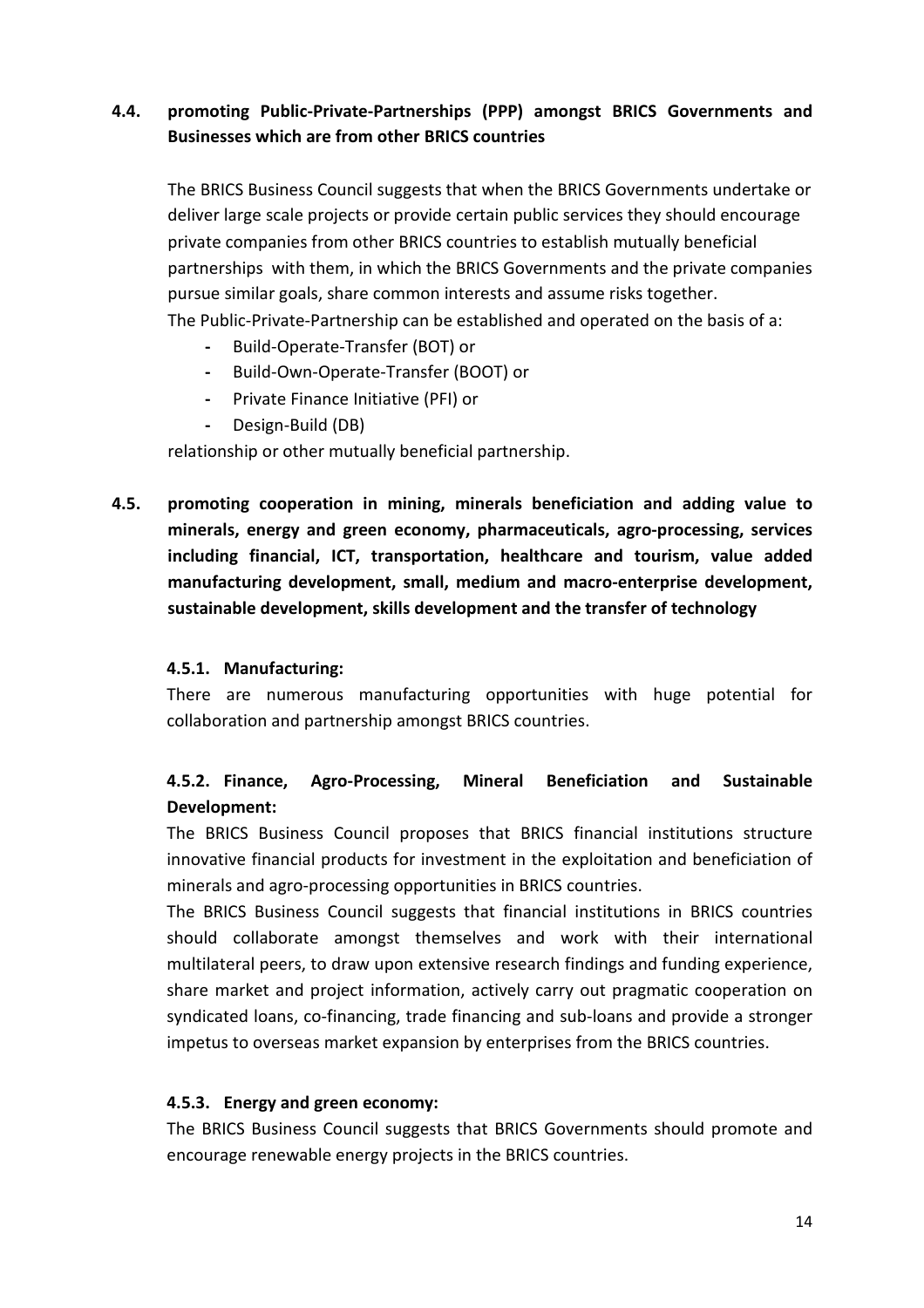# 4.4. promoting Public-Private-Partnerships (PPP) amongst BRICS Governments and Businesses which are from other BRICS countries

The BRICS Business Council suggests that when the BRICS Governments undertake or deliver large scale projects or provide certain public services they should encourage private companies from other BRICS countries to establish mutually beneficial partnerships with them, in which the BRICS Governments and the private companies pursue similar goals, share common interests and assume risks together. The Public-Private-Partnership can be established and operated on the basis of a:

- Build-Operate-Transfer (BOT) or
- Build-Own-Operate-Transfer (BOOT) or
- Private Finance Initiative (PFI) or
- Design-Build (DB)

relationship or other mutually beneficial partnership.

4.5. promoting cooperation in mining, minerals beneficiation and adding value to minerals, energy and green economy, pharmaceuticals, agro-processing, services including financial, ICT, transportation, healthcare and tourism, value added manufacturing development, small, medium and macro-enterprise development, sustainable development, skills development and the transfer of technology

#### 4.5.1. Manufacturing:

There are numerous manufacturing opportunities with huge potential for collaboration and partnership amongst BRICS countries.

## 4.5.2. Finance, Agro-Processing, Mineral Beneficiation and Sustainable Development:

The BRICS Business Council proposes that BRICS financial institutions structure innovative financial products for investment in the exploitation and beneficiation of minerals and agro-processing opportunities in BRICS countries.

The BRICS Business Council suggests that financial institutions in BRICS countries should collaborate amongst themselves and work with their international multilateral peers, to draw upon extensive research findings and funding experience, share market and project information, actively carry out pragmatic cooperation on syndicated loans, co-financing, trade financing and sub-loans and provide a stronger impetus to overseas market expansion by enterprises from the BRICS countries.

#### 4.5.3. Energy and green economy:

The BRICS Business Council suggests that BRICS Governments should promote and encourage renewable energy projects in the BRICS countries.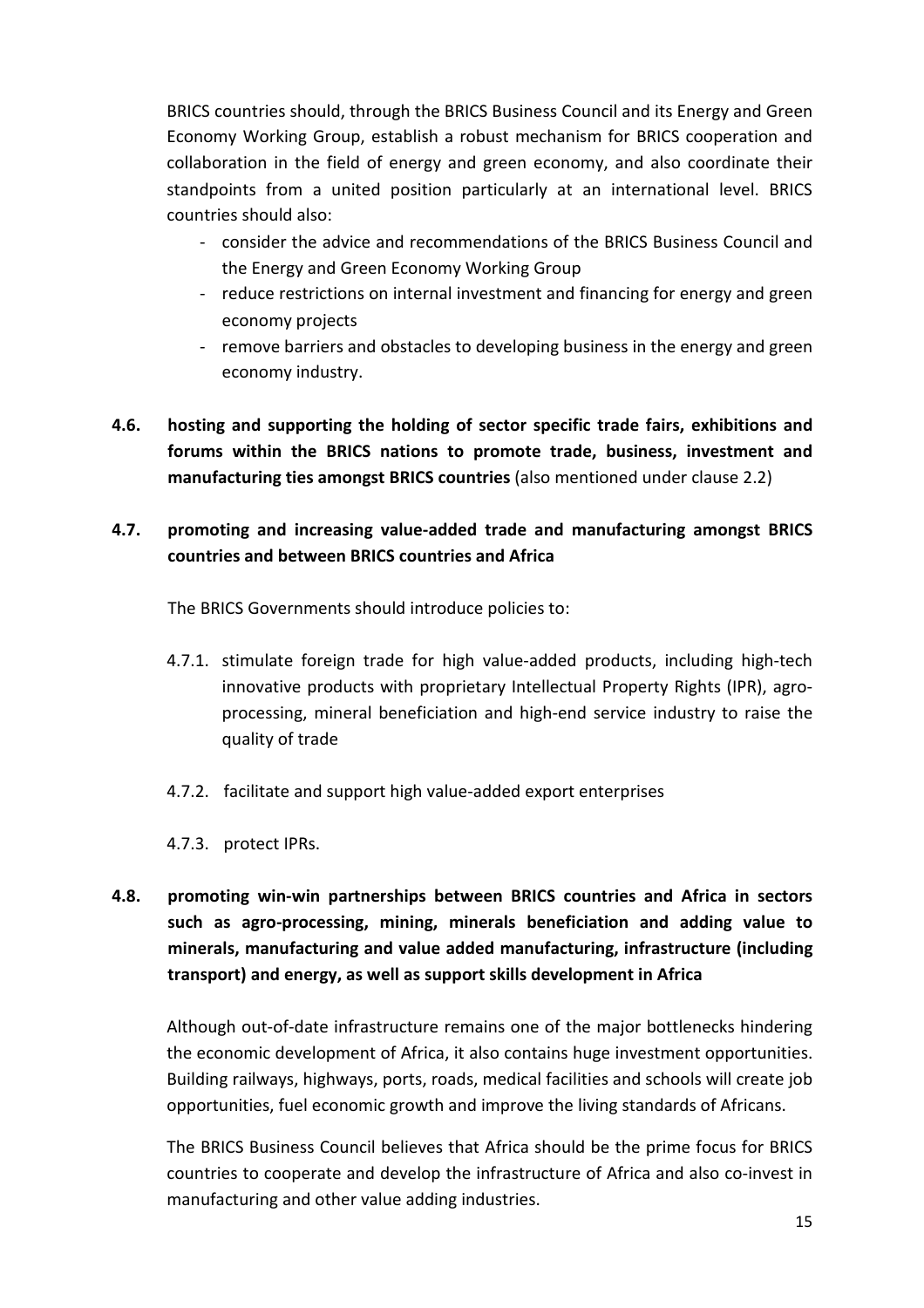BRICS countries should, through the BRICS Business Council and its Energy and Green Economy Working Group, establish a robust mechanism for BRICS cooperation and collaboration in the field of energy and green economy, and also coordinate their standpoints from a united position particularly at an international level. BRICS countries should also:

- consider the advice and recommendations of the BRICS Business Council and the Energy and Green Economy Working Group
- reduce restrictions on internal investment and financing for energy and green economy projects
- remove barriers and obstacles to developing business in the energy and green economy industry.
- 4.6. hosting and supporting the holding of sector specific trade fairs, exhibitions and forums within the BRICS nations to promote trade, business, investment and manufacturing ties amongst BRICS countries (also mentioned under clause 2.2)

# 4.7. promoting and increasing value-added trade and manufacturing amongst BRICS countries and between BRICS countries and Africa

The BRICS Governments should introduce policies to:

- 4.7.1. stimulate foreign trade for high value-added products, including high-tech innovative products with proprietary Intellectual Property Rights (IPR), agroprocessing, mineral beneficiation and high-end service industry to raise the quality of trade
- 4.7.2. facilitate and support high value-added export enterprises
- 4.7.3. protect IPRs.
- 4.8. promoting win-win partnerships between BRICS countries and Africa in sectors such as agro-processing, mining, minerals beneficiation and adding value to minerals, manufacturing and value added manufacturing, infrastructure (including transport) and energy, as well as support skills development in Africa

Although out-of-date infrastructure remains one of the major bottlenecks hindering the economic development of Africa, it also contains huge investment opportunities. Building railways, highways, ports, roads, medical facilities and schools will create job opportunities, fuel economic growth and improve the living standards of Africans.

The BRICS Business Council believes that Africa should be the prime focus for BRICS countries to cooperate and develop the infrastructure of Africa and also co-invest in manufacturing and other value adding industries.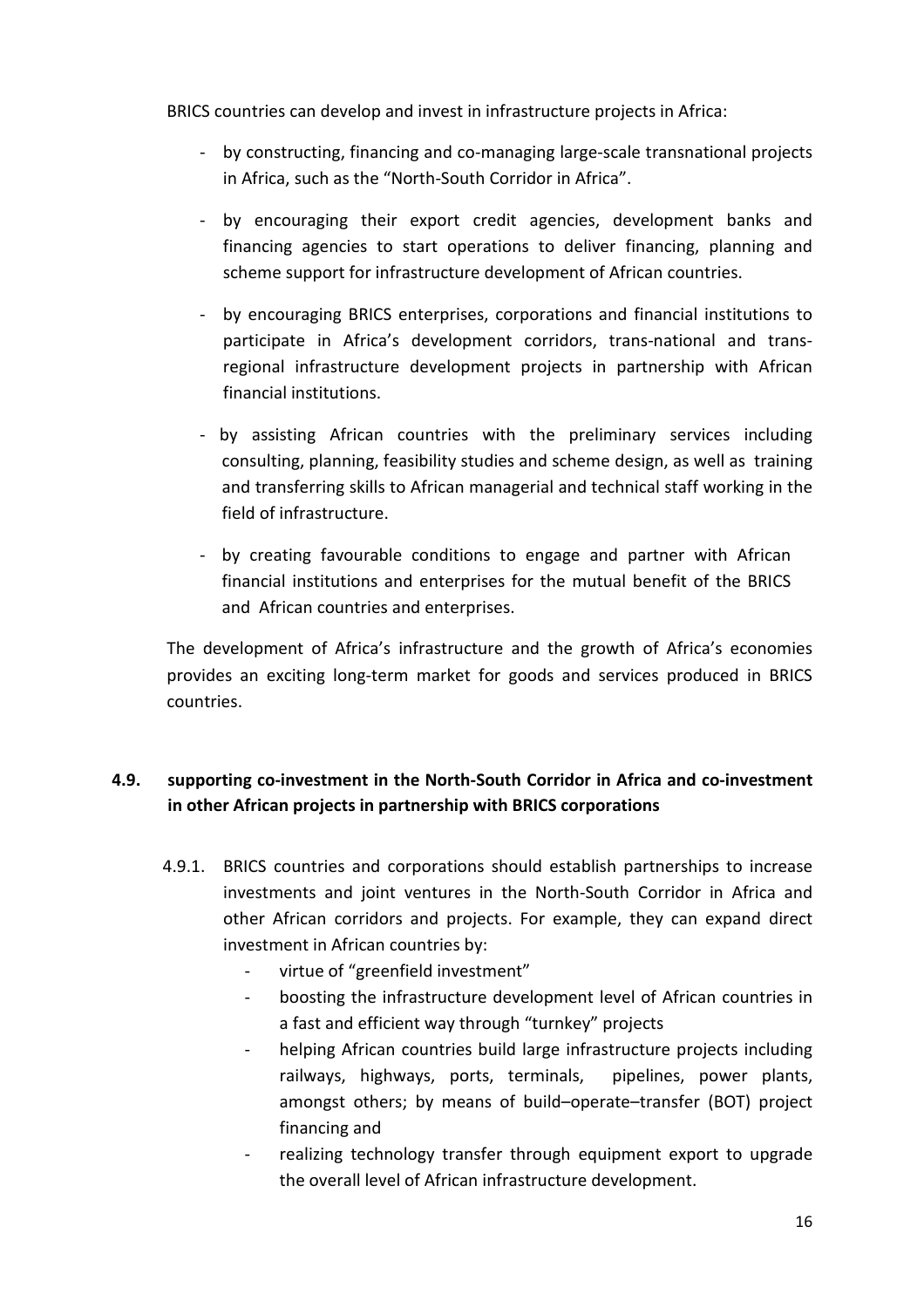BRICS countries can develop and invest in infrastructure projects in Africa:

- by constructing, financing and co-managing large-scale transnational projects in Africa, such as the "North-South Corridor in Africa".
- by encouraging their export credit agencies, development banks and financing agencies to start operations to deliver financing, planning and scheme support for infrastructure development of African countries.
- by encouraging BRICS enterprises, corporations and financial institutions to participate in Africa's development corridors, trans-national and transregional infrastructure development projects in partnership with African financial institutions.
- by assisting African countries with the preliminary services including consulting, planning, feasibility studies and scheme design, as well as training and transferring skills to African managerial and technical staff working in the field of infrastructure.
- by creating favourable conditions to engage and partner with African financial institutions and enterprises for the mutual benefit of the BRICS and African countries and enterprises.

The development of Africa's infrastructure and the growth of Africa's economies provides an exciting long-term market for goods and services produced in BRICS countries.

# 4.9. supporting co-investment in the North-South Corridor in Africa and co-investment in other African projects in partnership with BRICS corporations

- 4.9.1. BRICS countries and corporations should establish partnerships to increase investments and joint ventures in the North-South Corridor in Africa and other African corridors and projects. For example, they can expand direct investment in African countries by:
	- virtue of "greenfield investment"
	- boosting the infrastructure development level of African countries in a fast and efficient way through "turnkey" projects
	- helping African countries build large infrastructure projects including railways, highways, ports, terminals, pipelines, power plants, amongst others; by means of build–operate–transfer (BOT) project financing and
	- realizing technology transfer through equipment export to upgrade the overall level of African infrastructure development.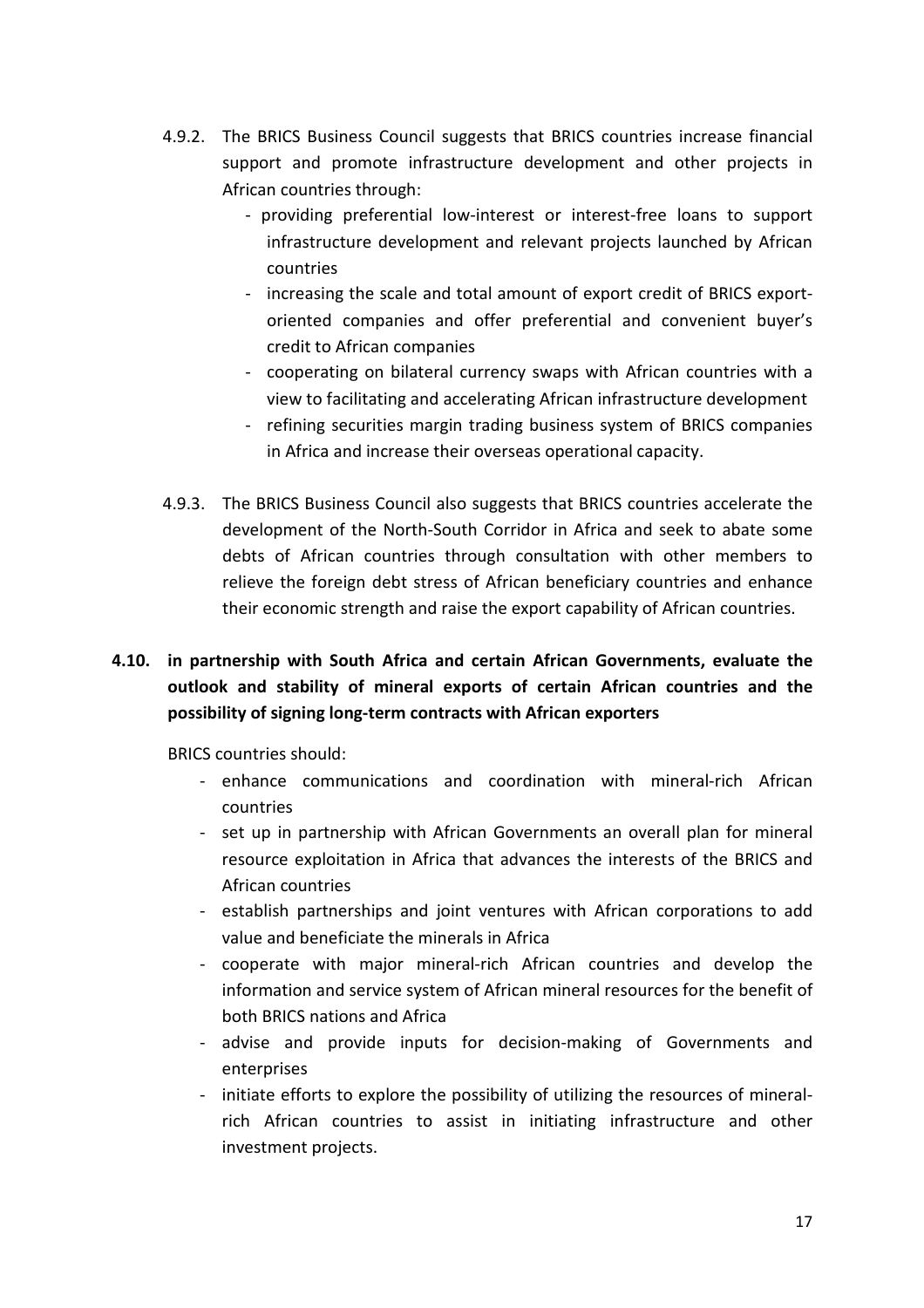- 4.9.2. The BRICS Business Council suggests that BRICS countries increase financial support and promote infrastructure development and other projects in African countries through:
	- providing preferential low-interest or interest-free loans to support infrastructure development and relevant projects launched by African countries
	- increasing the scale and total amount of export credit of BRICS exportoriented companies and offer preferential and convenient buyer's credit to African companies
	- cooperating on bilateral currency swaps with African countries with a view to facilitating and accelerating African infrastructure development
	- refining securities margin trading business system of BRICS companies in Africa and increase their overseas operational capacity.
- 4.9.3. The BRICS Business Council also suggests that BRICS countries accelerate the development of the North-South Corridor in Africa and seek to abate some debts of African countries through consultation with other members to relieve the foreign debt stress of African beneficiary countries and enhance their economic strength and raise the export capability of African countries.

# 4.10. in partnership with South Africa and certain African Governments, evaluate the outlook and stability of mineral exports of certain African countries and the possibility of signing long-term contracts with African exporters

BRICS countries should:

- enhance communications and coordination with mineral-rich African countries
- set up in partnership with African Governments an overall plan for mineral resource exploitation in Africa that advances the interests of the BRICS and African countries
- establish partnerships and joint ventures with African corporations to add value and beneficiate the minerals in Africa
- cooperate with major mineral-rich African countries and develop the information and service system of African mineral resources for the benefit of both BRICS nations and Africa
- advise and provide inputs for decision-making of Governments and enterprises
- initiate efforts to explore the possibility of utilizing the resources of mineralrich African countries to assist in initiating infrastructure and other investment projects.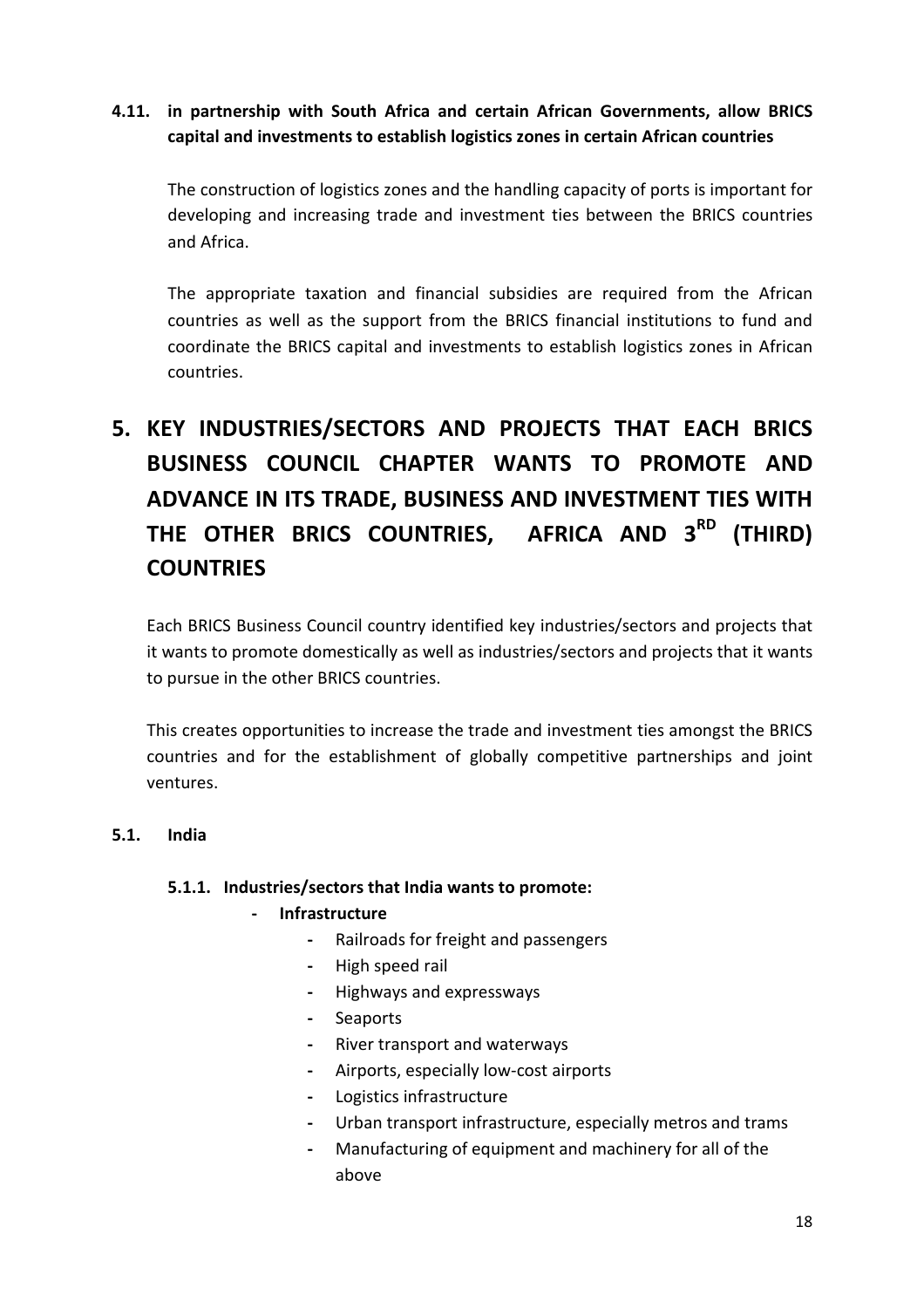# 4.11. in partnership with South Africa and certain African Governments, allow BRICS capital and investments to establish logistics zones in certain African countries

The construction of logistics zones and the handling capacity of ports is important for developing and increasing trade and investment ties between the BRICS countries and Africa.

The appropriate taxation and financial subsidies are required from the African countries as well as the support from the BRICS financial institutions to fund and coordinate the BRICS capital and investments to establish logistics zones in African countries.

# 5. KEY INDUSTRIES/SECTORS AND PROJECTS THAT EACH BRICS BUSINESS COUNCIL CHAPTER WANTS TO PROMOTE AND ADVANCE IN ITS TRADE, BUSINESS AND INVESTMENT TIES WITH THE OTHER BRICS COUNTRIES, AFRICA AND 3<sup>RD</sup> (THIRD) **COUNTRIES**

Each BRICS Business Council country identified key industries/sectors and projects that it wants to promote domestically as well as industries/sectors and projects that it wants to pursue in the other BRICS countries.

This creates opportunities to increase the trade and investment ties amongst the BRICS countries and for the establishment of globally competitive partnerships and joint ventures.

#### 5.1. India

#### 5.1.1. Industries/sectors that India wants to promote:

#### **Infrastructure**

- Railroads for freight and passengers
- High speed rail
- Highways and expressways
- Seaports
- River transport and waterways
- Airports, especially low-cost airports
- Logistics infrastructure
- Urban transport infrastructure, especially metros and trams
- Manufacturing of equipment and machinery for all of the above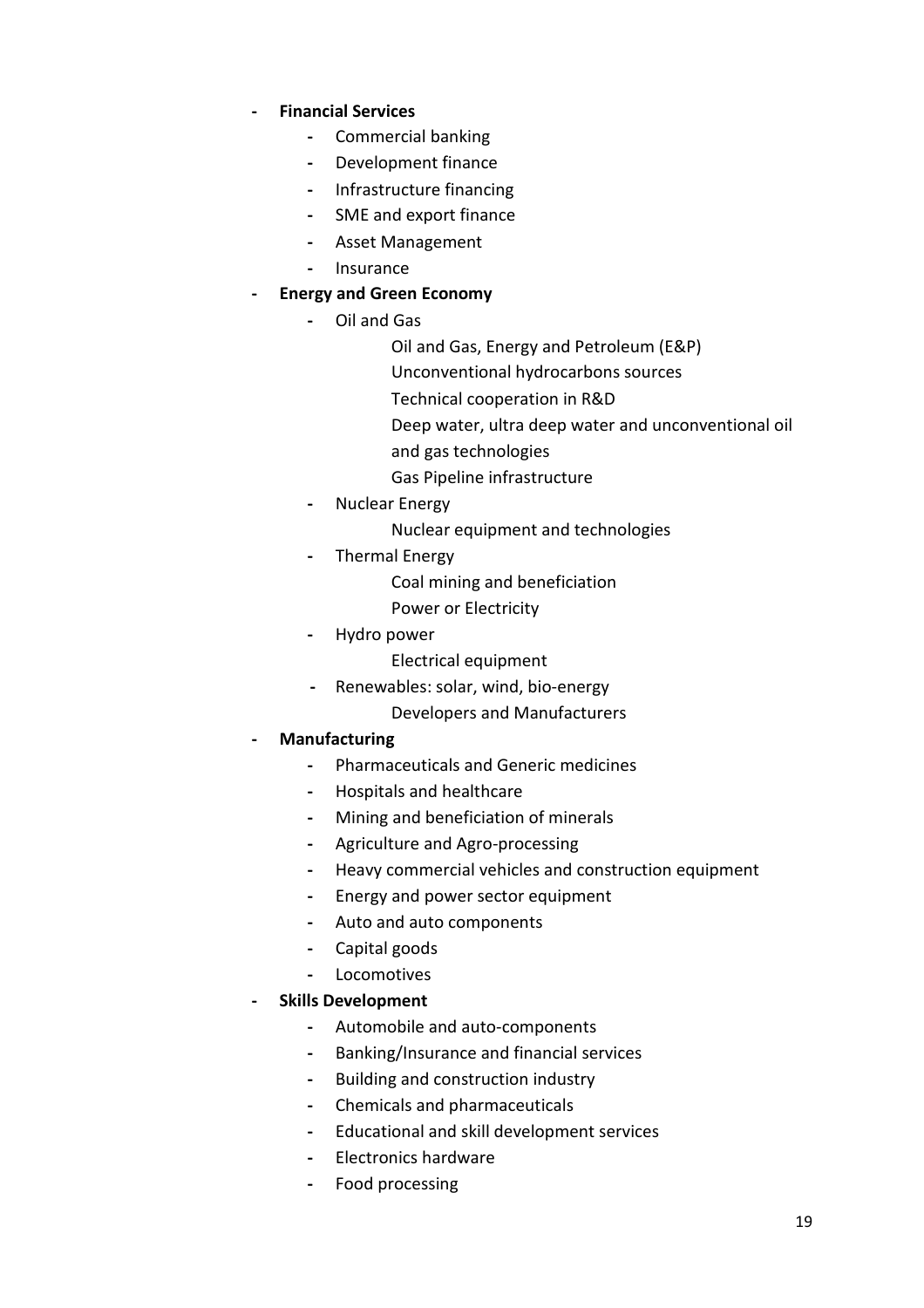- Financial Services
	- Commercial banking
	- Development finance
	- Infrastructure financing
	- SME and export finance
	- Asset Management
	- Insurance

#### - Energy and Green Economy

- Oil and Gas
	- Oil and Gas, Energy and Petroleum (E&P)
	- Unconventional hydrocarbons sources
	- Technical cooperation in R&D
	- Deep water, ultra deep water and unconventional oil
	- and gas technologies
	- Gas Pipeline infrastructure
- Nuclear Energy
	- Nuclear equipment and technologies
- Thermal Energy
	- Coal mining and beneficiation
	- Power or Electricity
- Hydro power
	- Electrical equipment
- Renewables: solar, wind, bio-energy
	- Developers and Manufacturers

#### **Manufacturing**

- Pharmaceuticals and Generic medicines
- Hospitals and healthcare
- Mining and beneficiation of minerals
- Agriculture and Agro-processing
- Heavy commercial vehicles and construction equipment
- Energy and power sector equipment
- Auto and auto components
- Capital goods
- Locomotives

#### - Skills Development

- Automobile and auto-components
- Banking/Insurance and financial services
- Building and construction industry
- Chemicals and pharmaceuticals
- Educational and skill development services
- Electronics hardware
- Food processing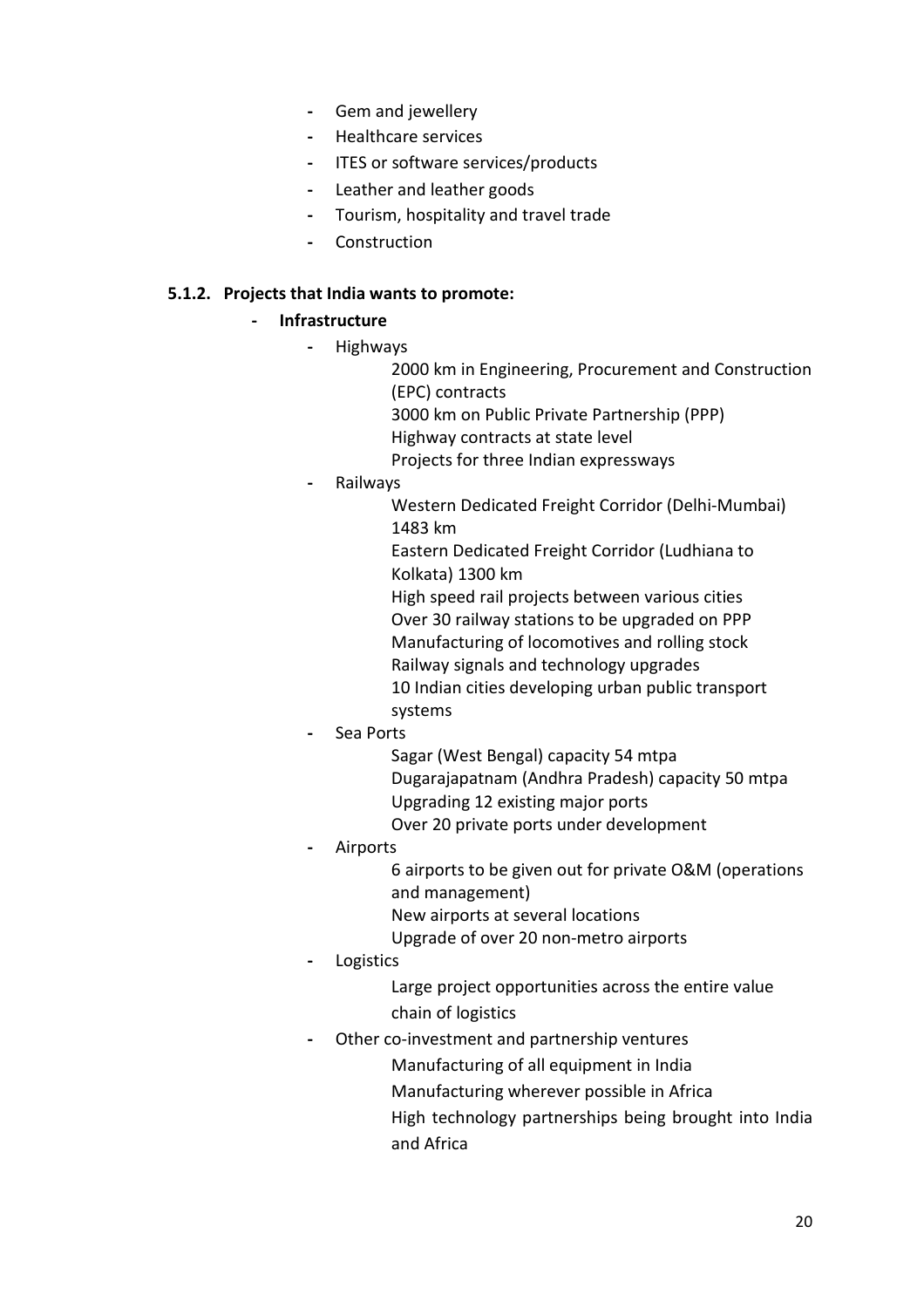- Gem and jewellery
- Healthcare services
- ITES or software services/products
- Leather and leather goods
- Tourism, hospitality and travel trade
- Construction

#### 5.1.2. Projects that India wants to promote:

#### **Infrastructure**

- Highways
	- 2000 km in Engineering, Procurement and Construction (EPC) contracts
		- 3000 km on Public Private Partnership (PPP)
		- Highway contracts at state level
		- Projects for three Indian expressways
- **Railways**

Western Dedicated Freight Corridor (Delhi-Mumbai) 1483 km

Eastern Dedicated Freight Corridor (Ludhiana to Kolkata) 1300 km

High speed rail projects between various cities

- Over 30 railway stations to be upgraded on PPP
- Manufacturing of locomotives and rolling stock
- Railway signals and technology upgrades
- 10 Indian cities developing urban public transport systems
- Sea Ports
	- Sagar (West Bengal) capacity 54 mtpa
	- Dugarajapatnam (Andhra Pradesh) capacity 50 mtpa
	- Upgrading 12 existing major ports
	- Over 20 private ports under development
- **Airports** 
	- 6 airports to be given out for private O&M (operations and management)
	- New airports at several locations
	- Upgrade of over 20 non-metro airports
- **Logistics**

Large project opportunities across the entire value chain of logistics

- Other co-investment and partnership ventures
	- Manufacturing of all equipment in India
	- Manufacturing wherever possible in Africa
	- High technology partnerships being brought into India and Africa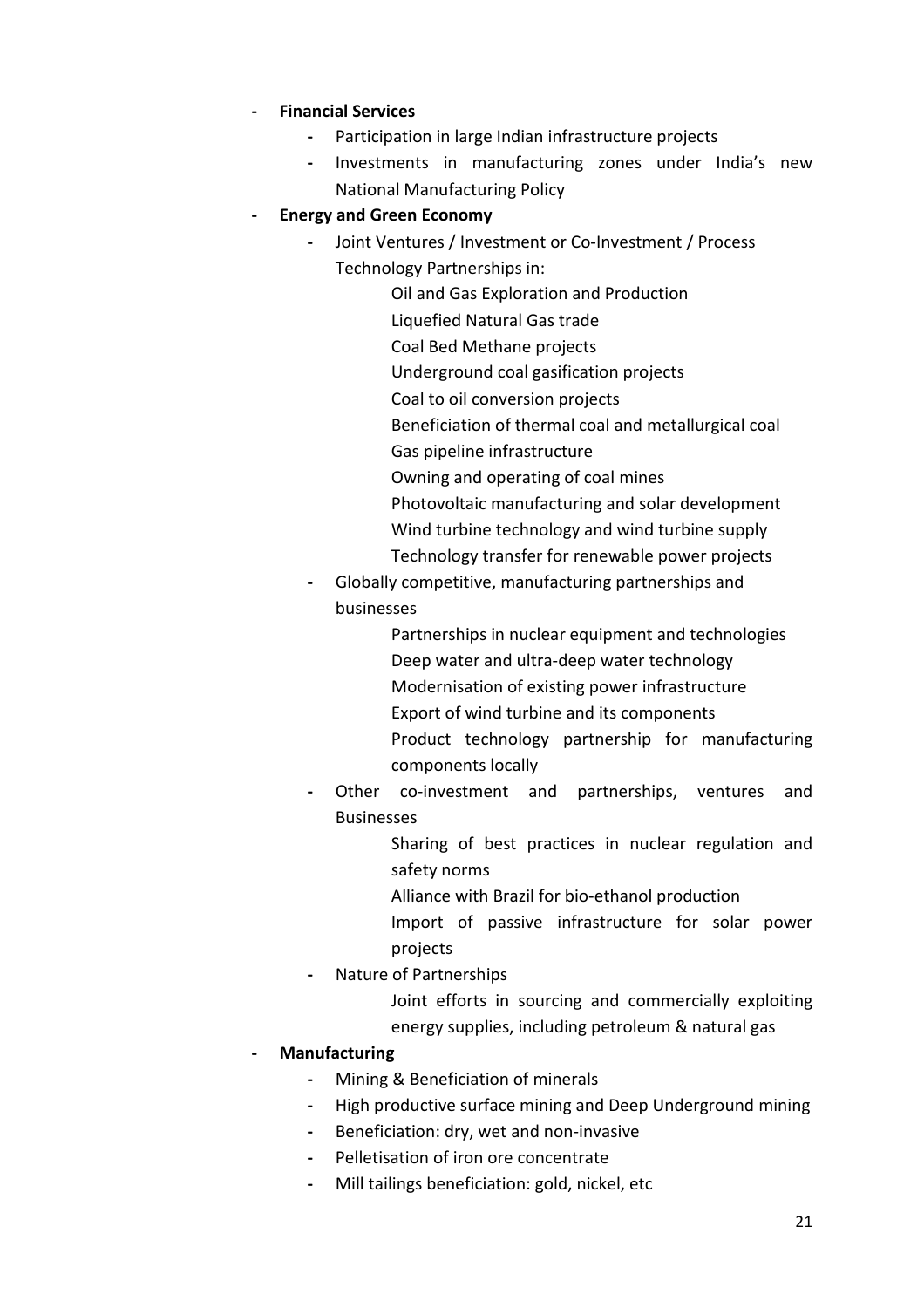- Financial Services
	- Participation in large Indian infrastructure projects
	- Investments in manufacturing zones under India's new National Manufacturing Policy

#### - Energy and Green Economy

- Joint Ventures / Investment or Co-Investment / Process Technology Partnerships in:
	- Oil and Gas Exploration and Production Liquefied Natural Gas trade Coal Bed Methane projects Underground coal gasification projects Coal to oil conversion projects
	- Beneficiation of thermal coal and metallurgical coal
	- Gas pipeline infrastructure
	- Owning and operating of coal mines
	- Photovoltaic manufacturing and solar development Wind turbine technology and wind turbine supply Technology transfer for renewable power projects
- Globally competitive, manufacturing partnerships and businesses
	- Partnerships in nuclear equipment and technologies Deep water and ultra-deep water technology Modernisation of existing power infrastructure Export of wind turbine and its components Product technology partnership for manufacturing components locally
- Other co-investment and partnerships, ventures and Businesses
	- Sharing of best practices in nuclear regulation and safety norms
	- Alliance with Brazil for bio-ethanol production
	- Import of passive infrastructure for solar power projects
- Nature of Partnerships
	- Joint efforts in sourcing and commercially exploiting energy supplies, including petroleum & natural gas

## **Manufacturing**

- Mining & Beneficiation of minerals
- High productive surface mining and Deep Underground mining
- Beneficiation: dry, wet and non-invasive
- Pelletisation of iron ore concentrate
- Mill tailings beneficiation: gold, nickel, etc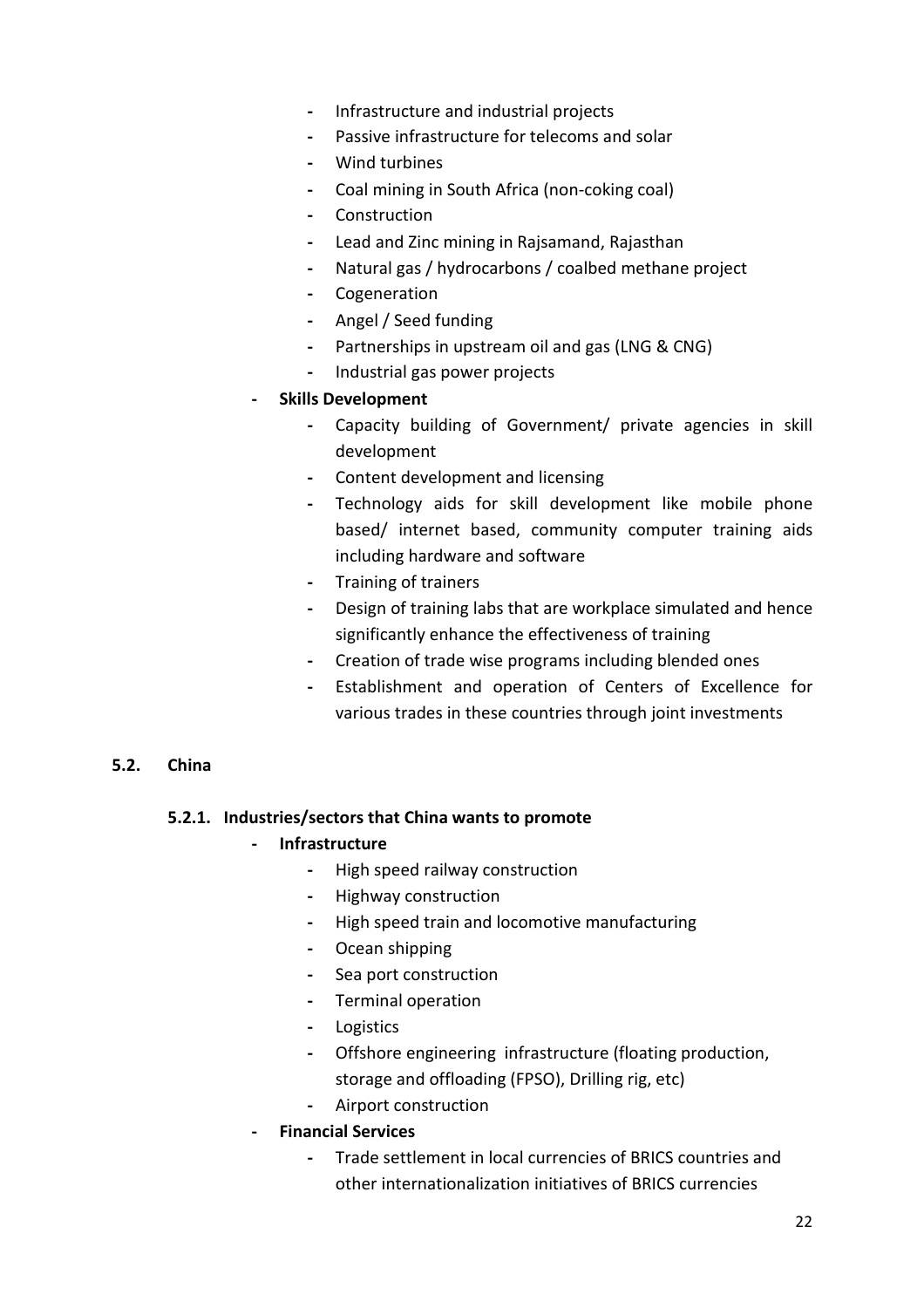- Infrastructure and industrial projects
- Passive infrastructure for telecoms and solar
- Wind turbines
- Coal mining in South Africa (non-coking coal)
- Construction
- Lead and Zinc mining in Rajsamand, Rajasthan
- Natural gas / hydrocarbons / coalbed methane project
- Cogeneration
- Angel / Seed funding
- Partnerships in upstream oil and gas (LNG & CNG)
- Industrial gas power projects
- Skills Development
	- Capacity building of Government/ private agencies in skill development
	- Content development and licensing
	- Technology aids for skill development like mobile phone based/ internet based, community computer training aids including hardware and software
	- Training of trainers
	- Design of training labs that are workplace simulated and hence significantly enhance the effectiveness of training
	- Creation of trade wise programs including blended ones
	- Establishment and operation of Centers of Excellence for various trades in these countries through joint investments

#### 5.2. China

#### 5.2.1. Industries/sectors that China wants to promote

#### **Infrastructure**

- High speed railway construction
- Highway construction
- High speed train and locomotive manufacturing
- Ocean shipping
- Sea port construction
- Terminal operation
- Logistics
- Offshore engineering infrastructure (floating production, storage and offloading (FPSO), Drilling rig, etc)
- Airport construction
- Financial Services
	- Trade settlement in local currencies of BRICS countries and other internationalization initiatives of BRICS currencies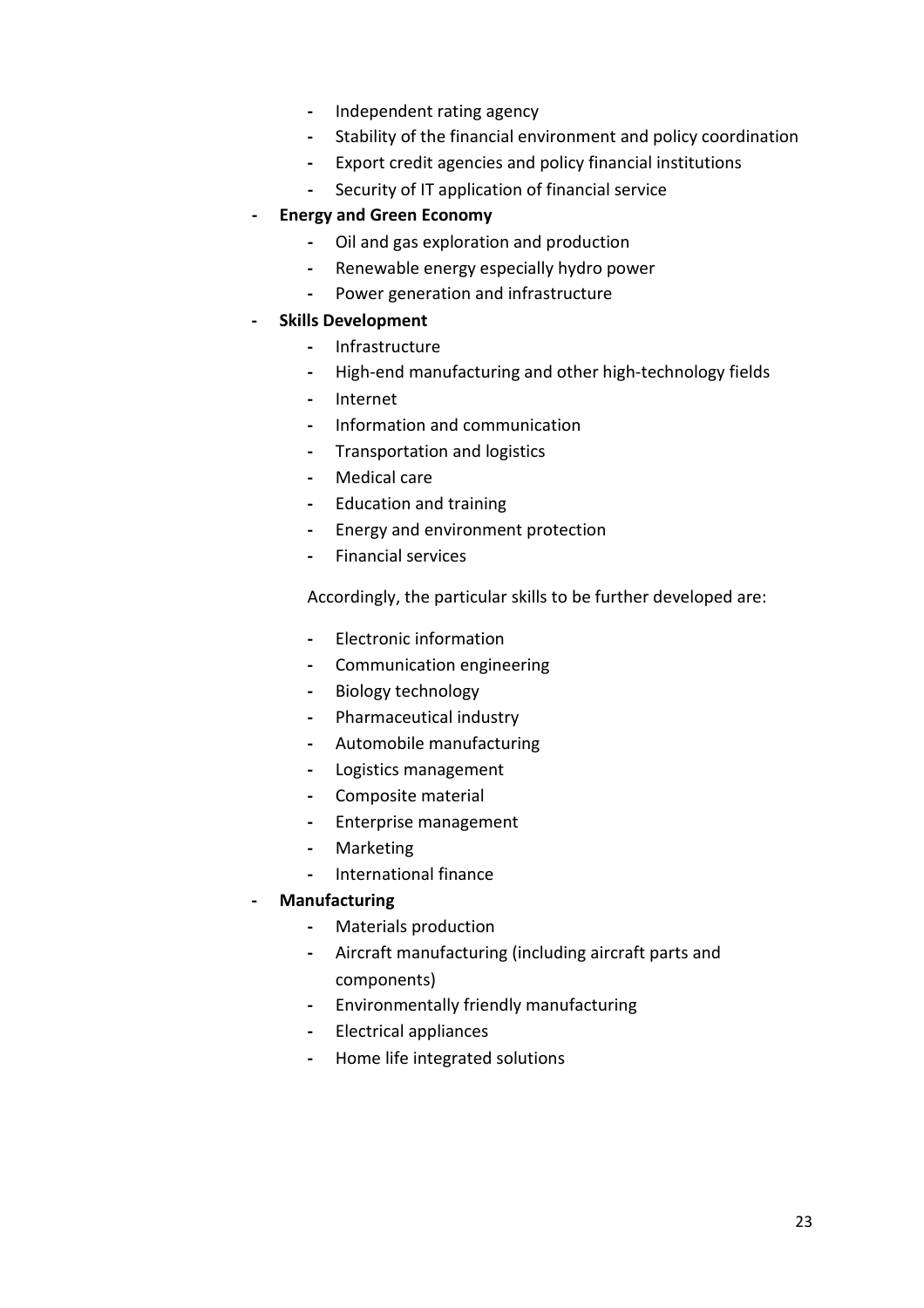- Independent rating agency
- Stability of the financial environment and policy coordination
- Export credit agencies and policy financial institutions
- Security of IT application of financial service
- Energy and Green Economy
	- Oil and gas exploration and production
	- Renewable energy especially hydro power
	- Power generation and infrastructure
- Skills Development
	- Infrastructure
	- High-end manufacturing and other high-technology fields
	- Internet
	- Information and communication
	- Transportation and logistics
	- Medical care
	- Education and training
	- Energy and environment protection
	- Financial services

Accordingly, the particular skills to be further developed are:

- Electronic information
- Communication engineering
- Biology technology
- Pharmaceutical industry
- Automobile manufacturing
- Logistics management
- Composite material
- Enterprise management
- Marketing
- International finance

#### - Manufacturing

- Materials production
- Aircraft manufacturing (including aircraft parts and components)
- Environmentally friendly manufacturing
- Electrical appliances
- Home life integrated solutions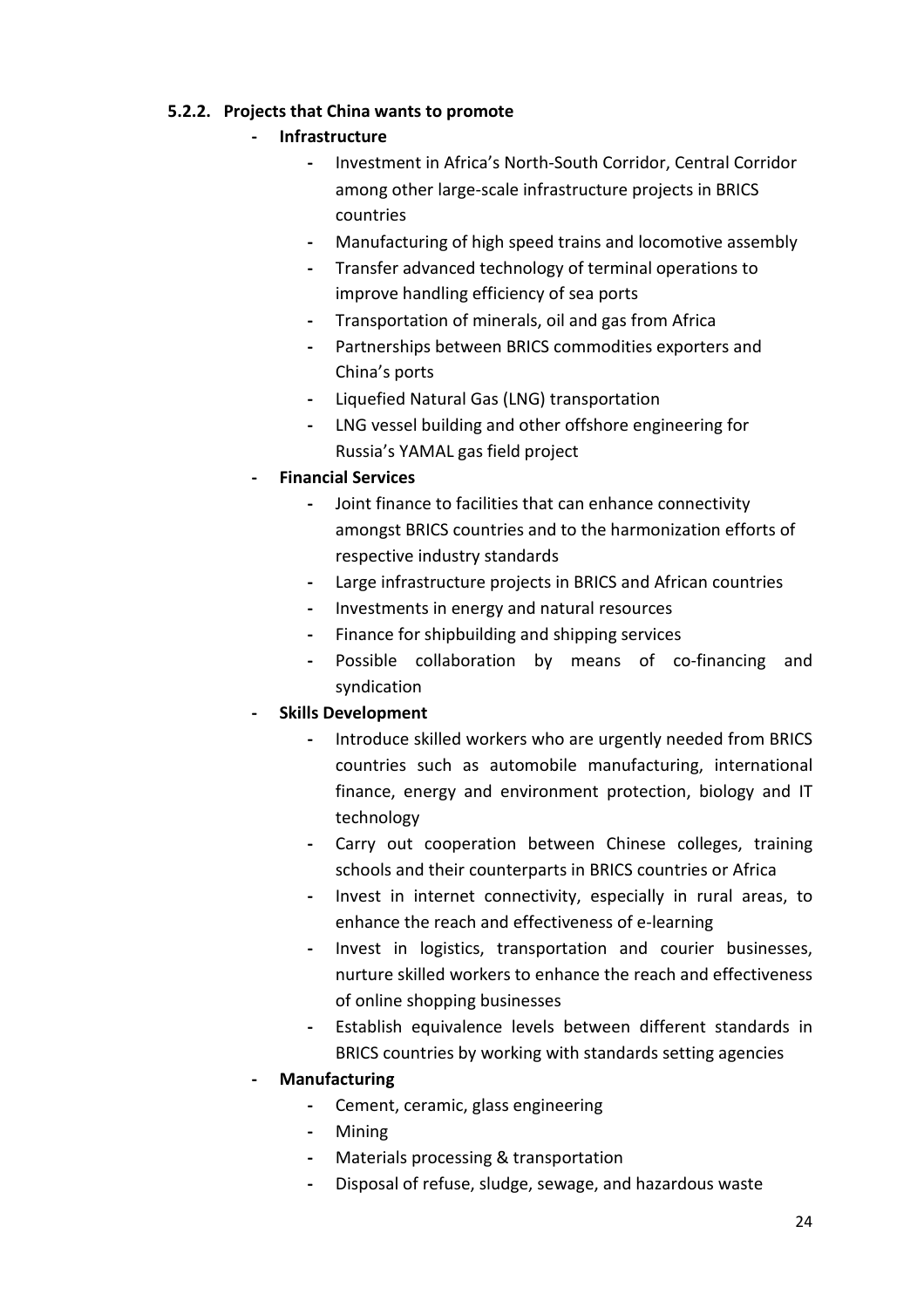#### 5.2.2. Projects that China wants to promote

#### **Infrastructure**

- Investment in Africa's North-South Corridor, Central Corridor among other large-scale infrastructure projects in BRICS countries
- Manufacturing of high speed trains and locomotive assembly
- Transfer advanced technology of terminal operations to improve handling efficiency of sea ports
- Transportation of minerals, oil and gas from Africa
- Partnerships between BRICS commodities exporters and China's ports
- Liquefied Natural Gas (LNG) transportation
- LNG vessel building and other offshore engineering for Russia's YAMAL gas field project
- Financial Services
	- Joint finance to facilities that can enhance connectivity amongst BRICS countries and to the harmonization efforts of respective industry standards
	- Large infrastructure projects in BRICS and African countries
	- Investments in energy and natural resources
	- Finance for shipbuilding and shipping services
	- Possible collaboration by means of co-financing and syndication

## - Skills Development

- Introduce skilled workers who are urgently needed from BRICS countries such as automobile manufacturing, international finance, energy and environment protection, biology and IT technology
- Carry out cooperation between Chinese colleges, training schools and their counterparts in BRICS countries or Africa
- Invest in internet connectivity, especially in rural areas, to enhance the reach and effectiveness of e-learning
- Invest in logistics, transportation and courier businesses, nurture skilled workers to enhance the reach and effectiveness of online shopping businesses
- Establish equivalence levels between different standards in BRICS countries by working with standards setting agencies

## **Manufacturing**

- Cement, ceramic, glass engineering
- Mining
- Materials processing & transportation
- Disposal of refuse, sludge, sewage, and hazardous waste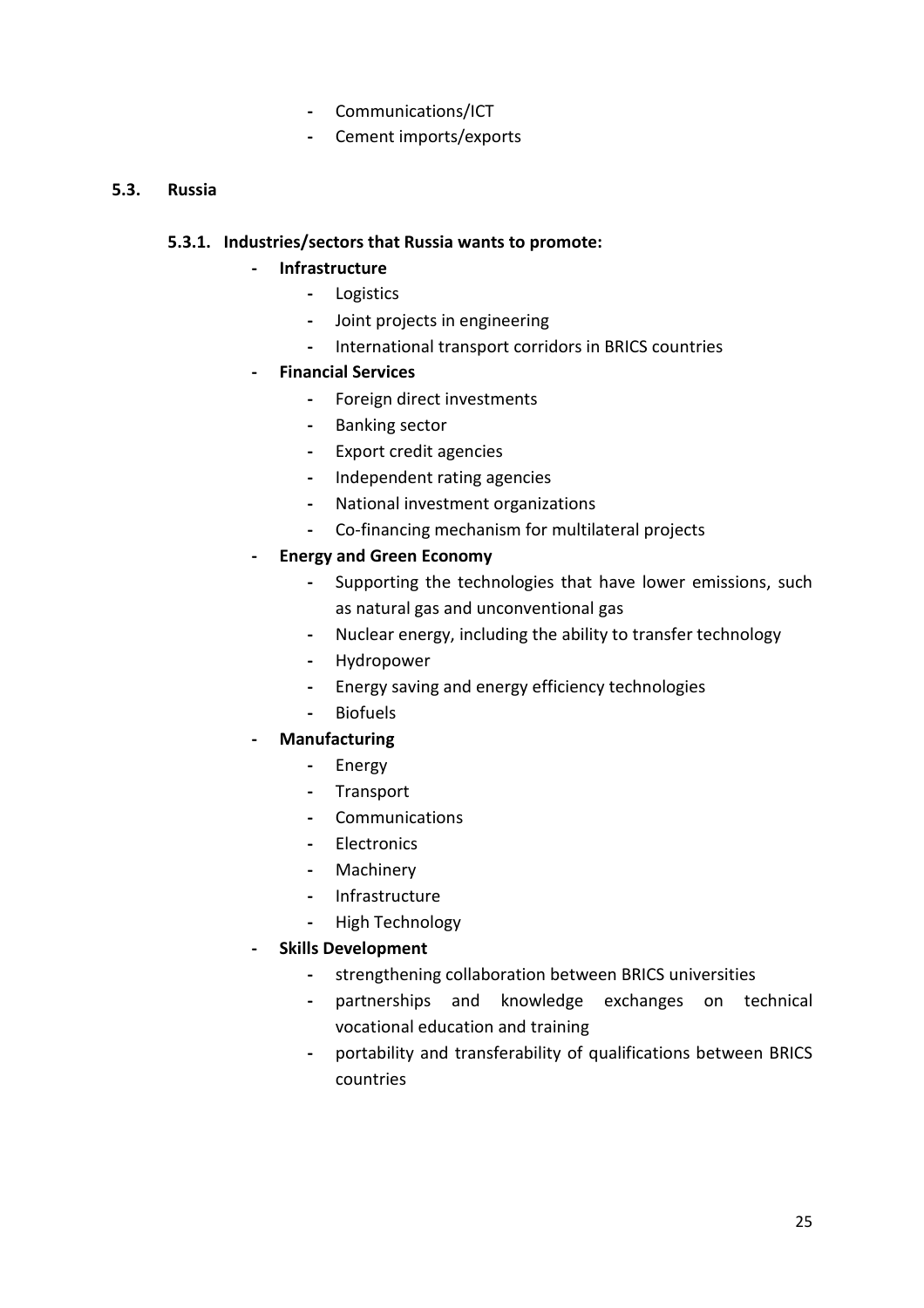- Communications/ICT
- Cement imports/exports

#### 5.3. Russia

#### 5.3.1. Industries/sectors that Russia wants to promote:

#### - Infrastructure

- Logistics
- Joint projects in engineering
- International transport corridors in BRICS countries
- Financial Services
	- Foreign direct investments
	- Banking sector
	- Export credit agencies
	- Independent rating agencies
	- National investment organizations
	- Co-financing mechanism for multilateral projects

#### - Energy and Green Economy

- Supporting the technologies that have lower emissions, such as natural gas and unconventional gas
- Nuclear energy, including the ability to transfer technology
- Hydropower
- Energy saving and energy efficiency technologies
- Biofuels
- **Manufacturing** 
	- Energy
	- Transport
	- Communications
	- Electronics
	- Machinery
	- Infrastructure
	- High Technology
- Skills Development
	- strengthening collaboration between BRICS universities
	- partnerships and knowledge exchanges on technical vocational education and training
	- portability and transferability of qualifications between BRICS countries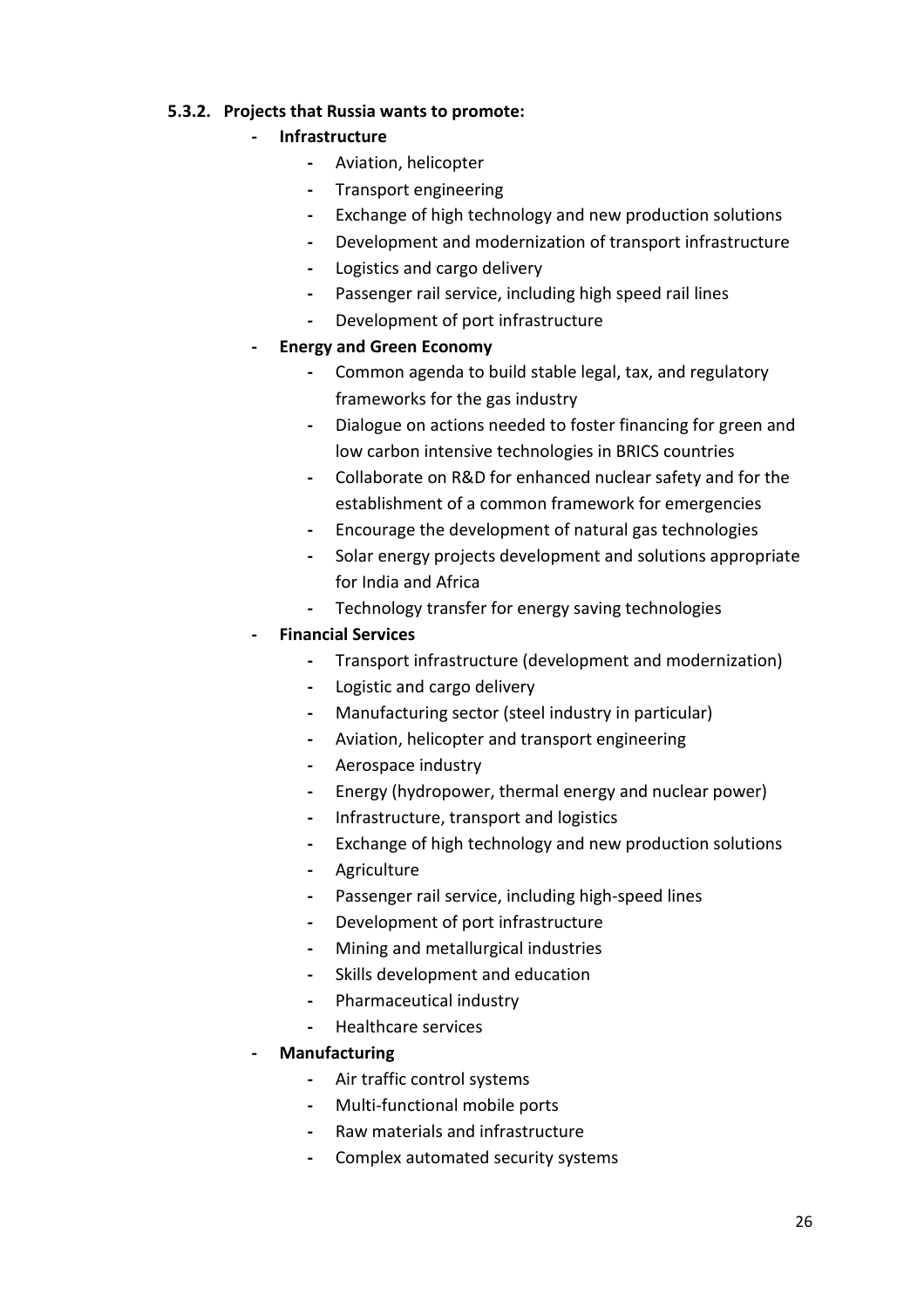#### 5.3.2. Projects that Russia wants to promote:

#### **Infrastructure**

- Aviation, helicopter
- Transport engineering
- Exchange of high technology and new production solutions
- Development and modernization of transport infrastructure
- Logistics and cargo delivery
- Passenger rail service, including high speed rail lines
- Development of port infrastructure

#### - Energy and Green Economy

- Common agenda to build stable legal, tax, and regulatory frameworks for the gas industry
- Dialogue on actions needed to foster financing for green and low carbon intensive technologies in BRICS countries
- Collaborate on R&D for enhanced nuclear safety and for the establishment of a common framework for emergencies
- Encourage the development of natural gas technologies
- Solar energy projects development and solutions appropriate for India and Africa
- Technology transfer for energy saving technologies

#### - Financial Services

- Transport infrastructure (development and modernization)
- Logistic and cargo delivery
- Manufacturing sector (steel industry in particular)
- Aviation, helicopter and transport engineering
- Aerospace industry
- Energy (hydropower, thermal energy and nuclear power)
- Infrastructure, transport and logistics
- Exchange of high technology and new production solutions
- Agriculture
- Passenger rail service, including high-speed lines
- Development of port infrastructure
- Mining and metallurgical industries
- Skills development and education
- Pharmaceutical industry
- Healthcare services

## **Manufacturing**

- Air traffic control systems
- Multi-functional mobile ports
- Raw materials and infrastructure
- Complex automated security systems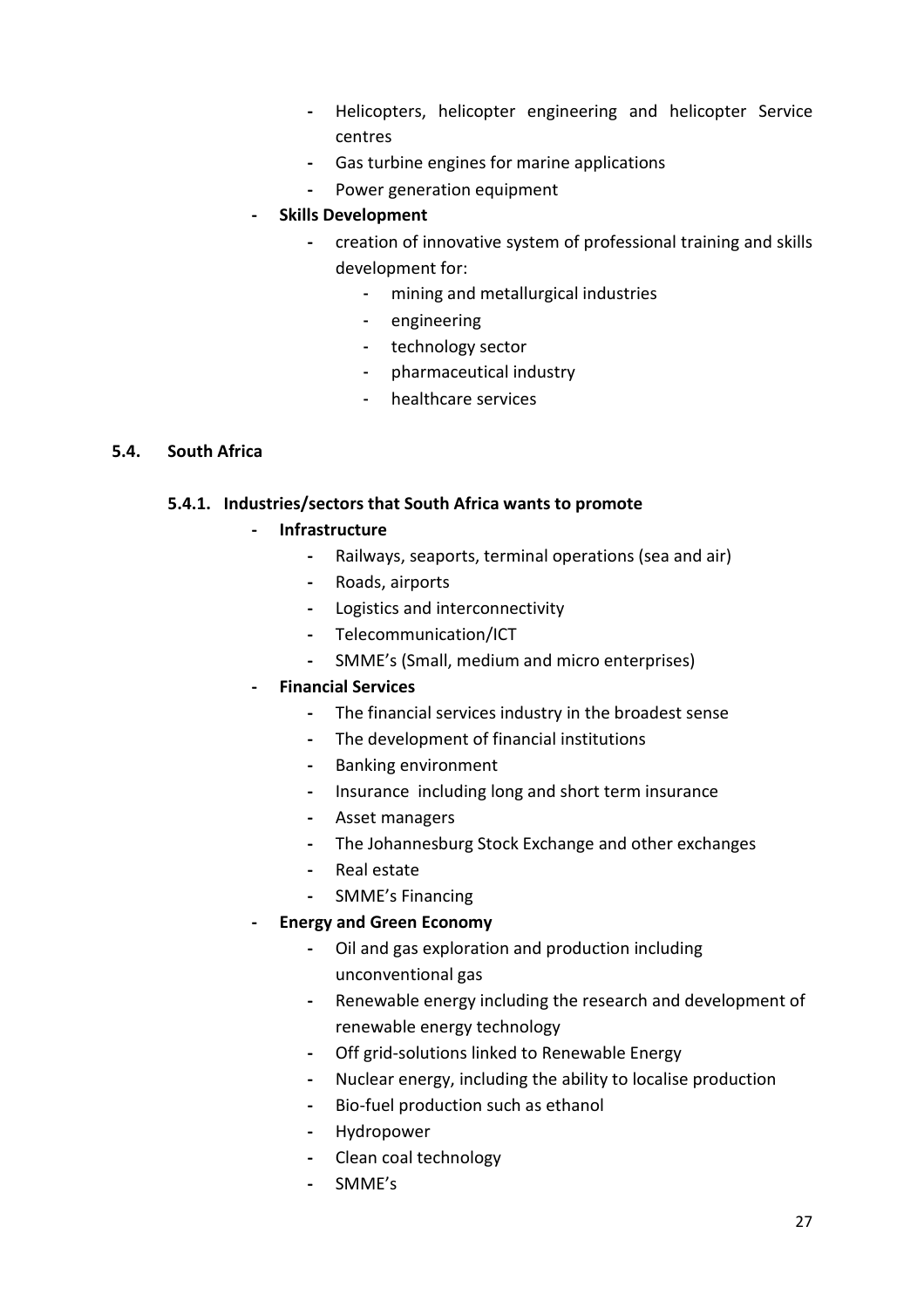- Helicopters, helicopter engineering and helicopter Service centres
- Gas turbine engines for marine applications
- Power generation equipment

#### - Skills Development

- creation of innovative system of professional training and skills development for:
	- mining and metallurgical industries
	- engineering
	- technology sector
	- pharmaceutical industry
	- healthcare services

#### 5.4. South Africa

#### 5.4.1. Industries/sectors that South Africa wants to promote

- **Infrastructure** 
	- Railways, seaports, terminal operations (sea and air)
	- Roads, airports
	- Logistics and interconnectivity
	- Telecommunication/ICT
	- SMME's (Small, medium and micro enterprises)

#### - Financial Services

- The financial services industry in the broadest sense
- The development of financial institutions
- Banking environment
- Insurance including long and short term insurance
- Asset managers
- The Johannesburg Stock Exchange and other exchanges
- Real estate
- SMME's Financing

#### - Energy and Green Economy

- Oil and gas exploration and production including unconventional gas
- Renewable energy including the research and development of renewable energy technology
- Off grid-solutions linked to Renewable Energy
- Nuclear energy, including the ability to localise production
- Bio-fuel production such as ethanol
- Hydropower
- Clean coal technology
- SMME's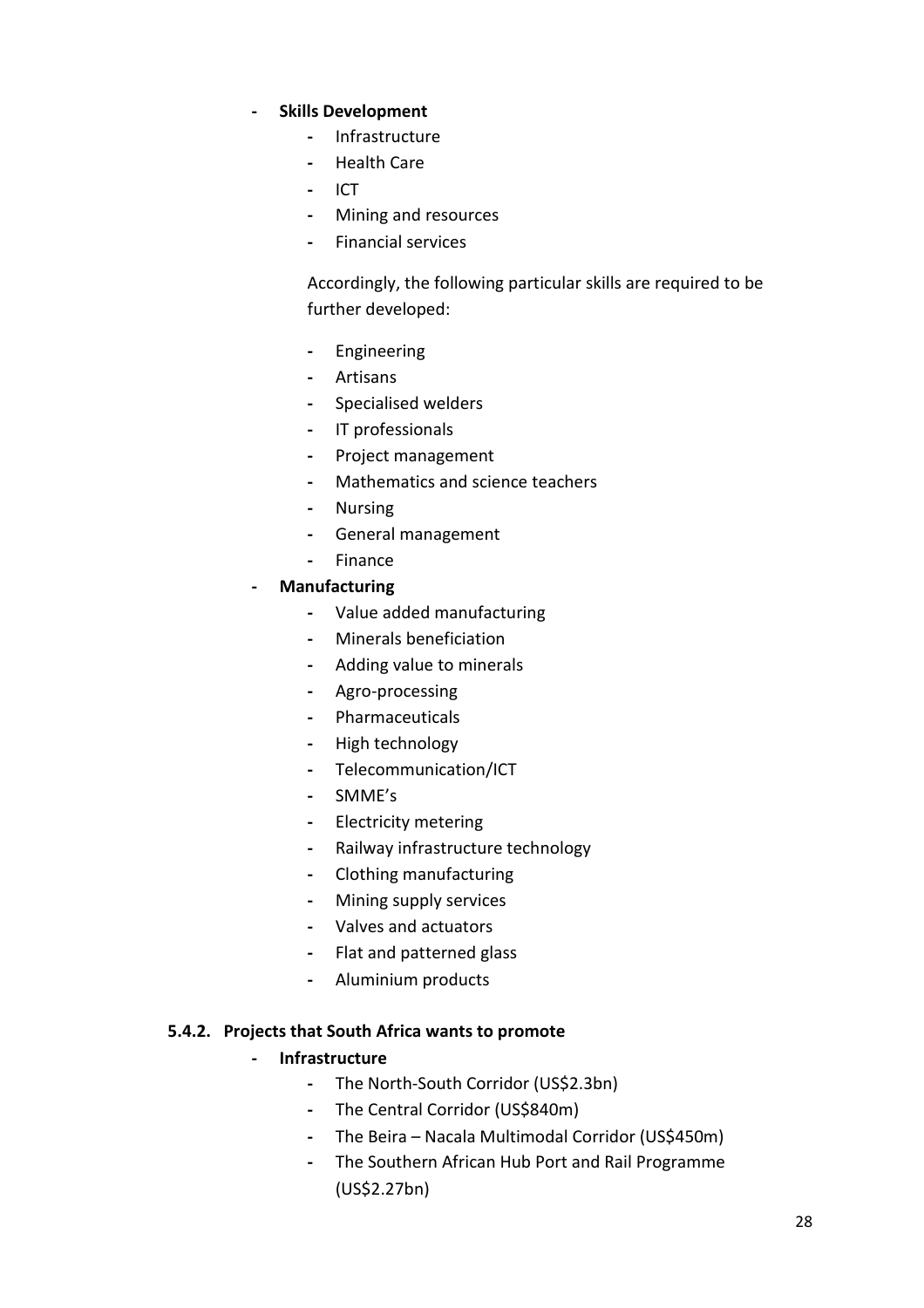#### - Skills Development

- Infrastructure
- Health Care
- ICT
- Mining and resources
- Financial services

Accordingly, the following particular skills are required to be further developed:

- Engineering
- Artisans
- Specialised welders
- IT professionals
- Project management
- Mathematics and science teachers
- Nursing
- General management
- Finance
- Manufacturing
	- Value added manufacturing
	- Minerals beneficiation
	- Adding value to minerals
	- Agro-processing
	- Pharmaceuticals
	- High technology
	- Telecommunication/ICT
	- SMME's
	- Electricity metering
	- Railway infrastructure technology
	- Clothing manufacturing
	- Mining supply services
	- Valves and actuators
	- Flat and patterned glass
	- Aluminium products

#### 5.4.2. Projects that South Africa wants to promote

#### - Infrastructure

- The North-South Corridor (US\$2.3bn)
- The Central Corridor (US\$840m)
- The Beira Nacala Multimodal Corridor (US\$450m)
- The Southern African Hub Port and Rail Programme (US\$2.27bn)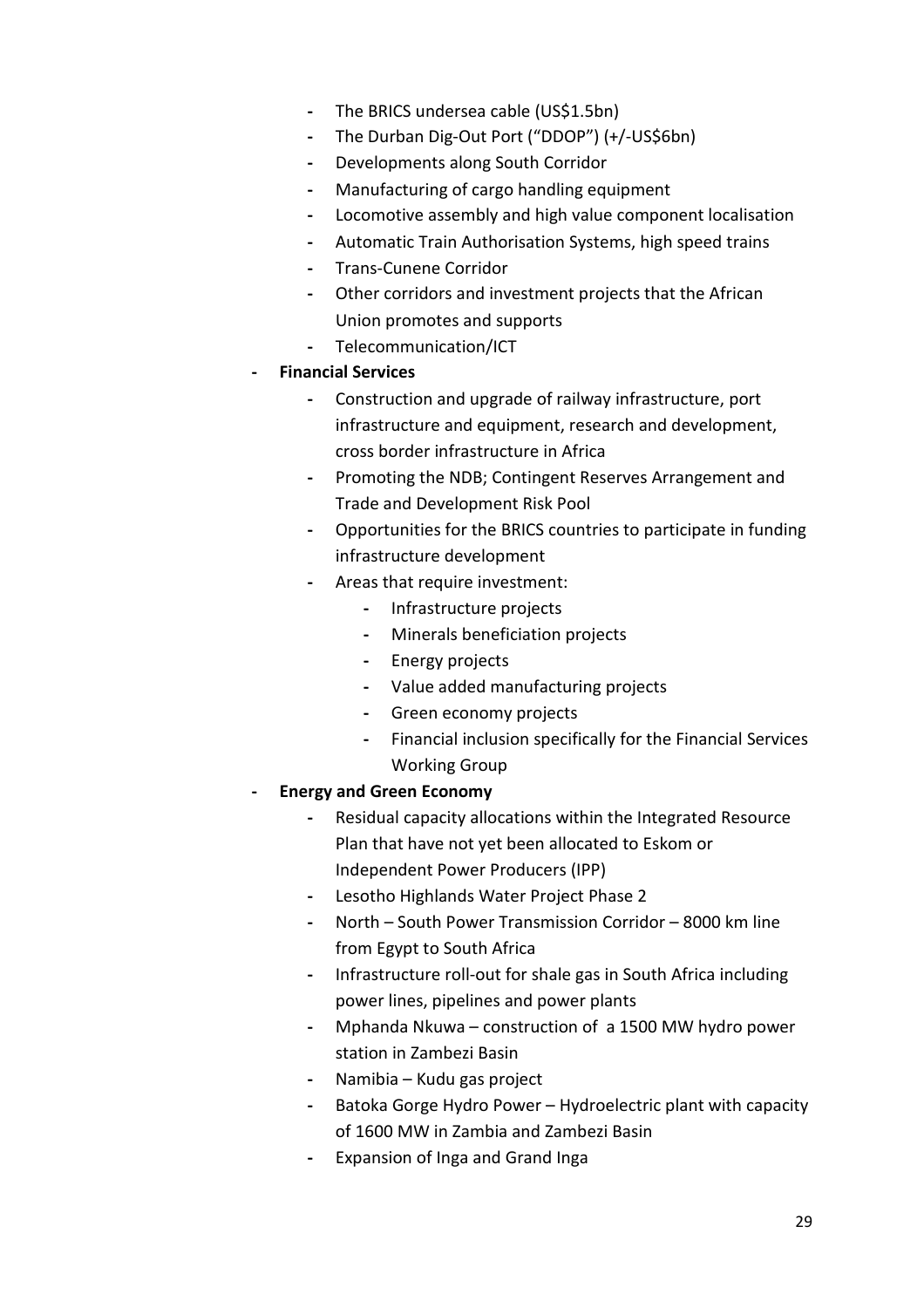- The BRICS undersea cable (US\$1.5bn)
- The Durban Dig-Out Port ("DDOP") (+/-US\$6bn)
- Developments along South Corridor
- Manufacturing of cargo handling equipment
- Locomotive assembly and high value component localisation
- Automatic Train Authorisation Systems, high speed trains
- Trans-Cunene Corridor
- Other corridors and investment projects that the African Union promotes and supports
- Telecommunication/ICT
- Financial Services
	- Construction and upgrade of railway infrastructure, port infrastructure and equipment, research and development, cross border infrastructure in Africa
	- Promoting the NDB; Contingent Reserves Arrangement and Trade and Development Risk Pool
	- Opportunities for the BRICS countries to participate in funding infrastructure development
	- Areas that require investment:
		- Infrastructure projects
		- Minerals beneficiation projects
		- Energy projects
		- Value added manufacturing projects
		- Green economy projects
		- Financial inclusion specifically for the Financial Services Working Group
- Energy and Green Economy
	- Residual capacity allocations within the Integrated Resource Plan that have not yet been allocated to Eskom or Independent Power Producers (IPP)
	- Lesotho Highlands Water Project Phase 2
	- North South Power Transmission Corridor 8000 km line from Egypt to South Africa
	- Infrastructure roll-out for shale gas in South Africa including power lines, pipelines and power plants
	- Mphanda Nkuwa construction of a 1500 MW hydro power station in Zambezi Basin
	- Namibia Kudu gas project
	- Batoka Gorge Hydro Power Hydroelectric plant with capacity of 1600 MW in Zambia and Zambezi Basin
	- Expansion of Inga and Grand Inga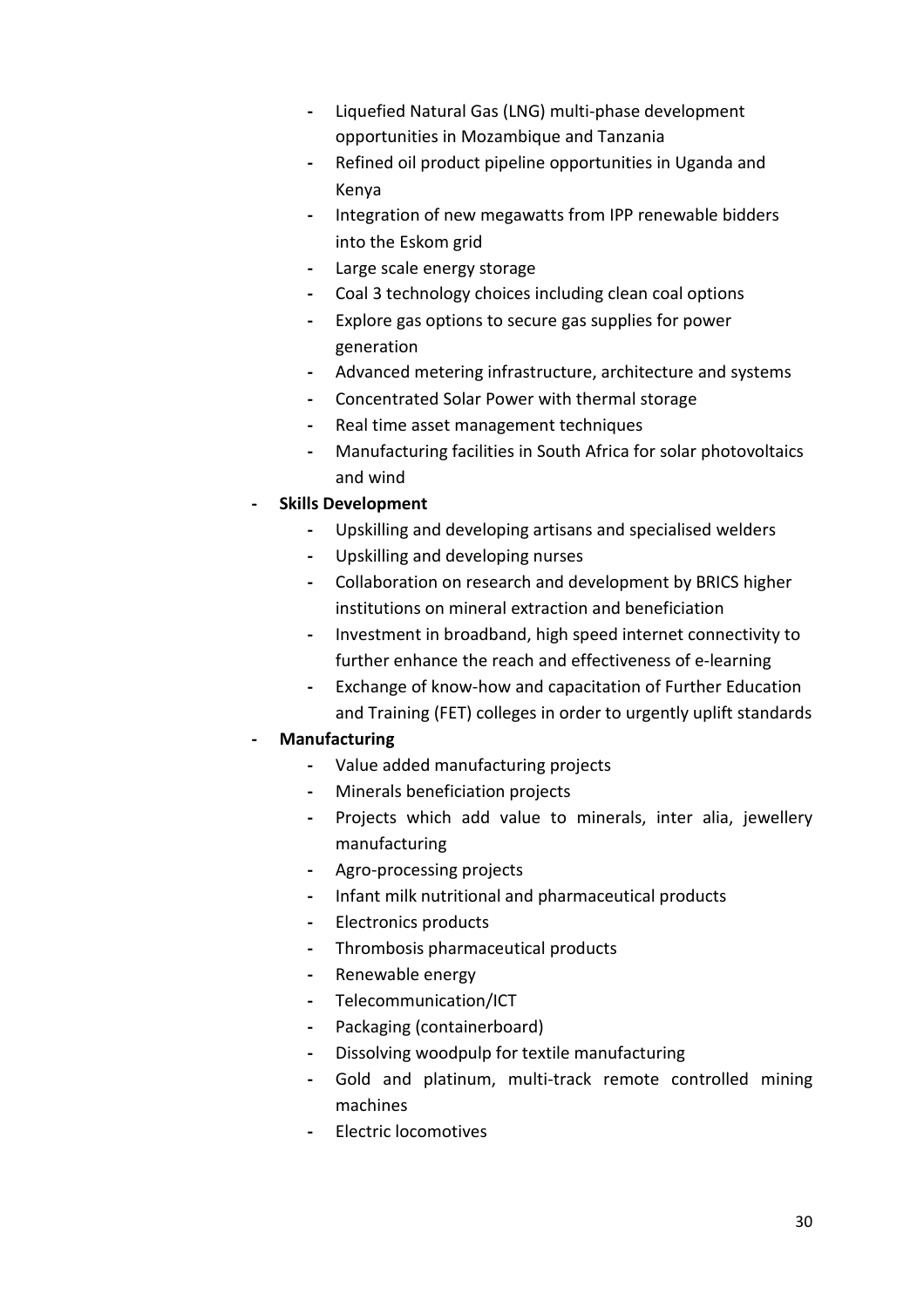- Liquefied Natural Gas (LNG) multi-phase development opportunities in Mozambique and Tanzania
- Refined oil product pipeline opportunities in Uganda and Kenya
- Integration of new megawatts from IPP renewable bidders into the Eskom grid
- Large scale energy storage
- Coal 3 technology choices including clean coal options
- Explore gas options to secure gas supplies for power generation
- Advanced metering infrastructure, architecture and systems
- Concentrated Solar Power with thermal storage
- Real time asset management techniques
- Manufacturing facilities in South Africa for solar photovoltaics and wind
- Skills Development
	- Upskilling and developing artisans and specialised welders
	- Upskilling and developing nurses
	- Collaboration on research and development by BRICS higher institutions on mineral extraction and beneficiation
	- Investment in broadband, high speed internet connectivity to further enhance the reach and effectiveness of e-learning
	- Exchange of know-how and capacitation of Further Education and Training (FET) colleges in order to urgently uplift standards

#### **Manufacturing**

- Value added manufacturing projects
- Minerals beneficiation projects
- Projects which add value to minerals, inter alia, jewellery manufacturing
- Agro-processing projects
- Infant milk nutritional and pharmaceutical products
- Electronics products
- Thrombosis pharmaceutical products
- Renewable energy
- Telecommunication/ICT
- Packaging (containerboard)
- Dissolving woodpulp for textile manufacturing
- Gold and platinum, multi-track remote controlled mining machines
- Electric locomotives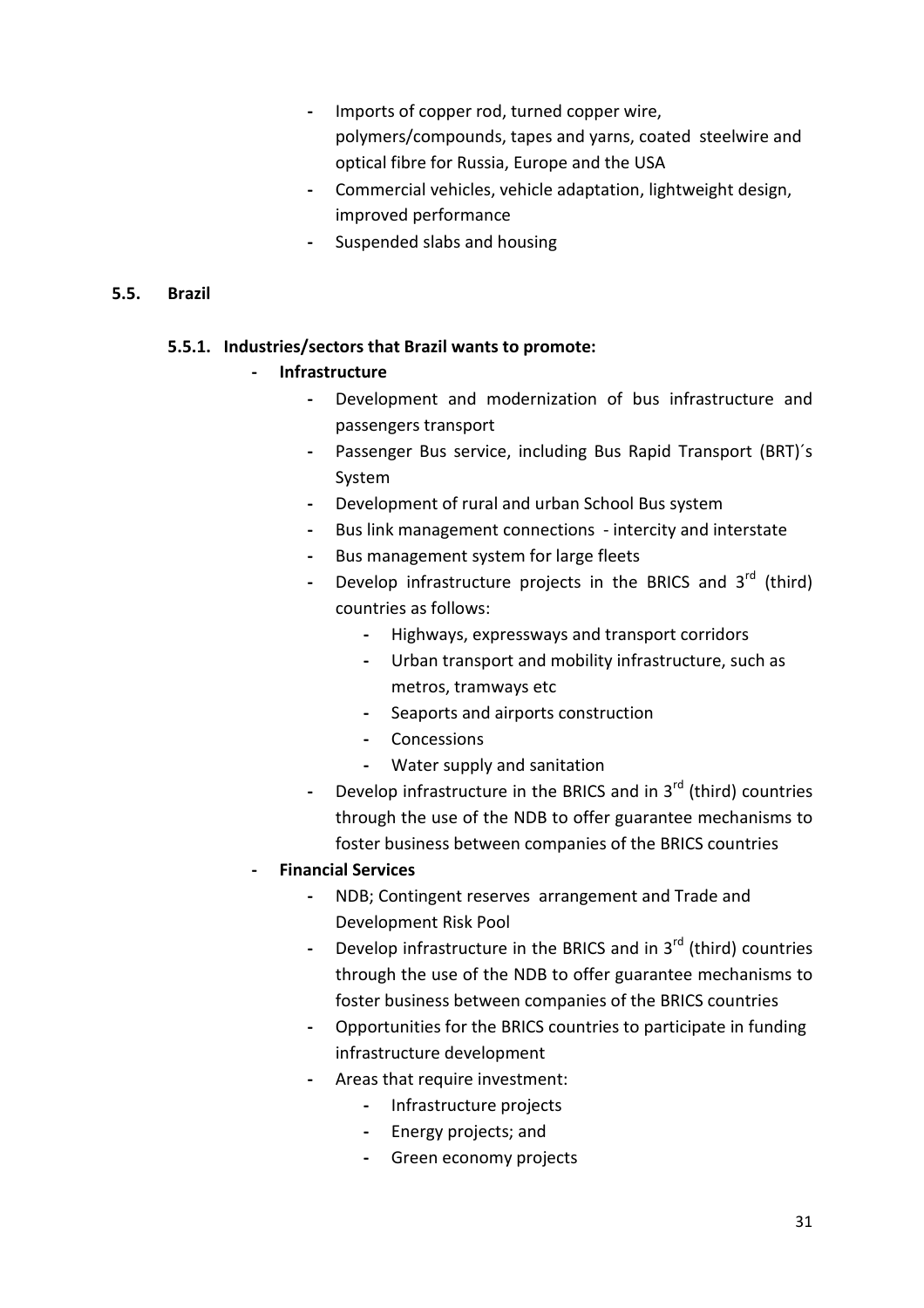- Imports of copper rod, turned copper wire, polymers/compounds, tapes and yarns, coated steelwire and optical fibre for Russia, Europe and the USA
- Commercial vehicles, vehicle adaptation, lightweight design, improved performance
- Suspended slabs and housing

#### 5.5. Brazil

#### 5.5.1. Industries/sectors that Brazil wants to promote:

#### **Infrastructure**

- Development and modernization of bus infrastructure and passengers transport
- Passenger Bus service, including Bus Rapid Transport (BRT)´s System
- Development of rural and urban School Bus system
- Bus link management connections intercity and interstate
- Bus management system for large fleets
- Develop infrastructure projects in the BRICS and  $3^{rd}$  (third) countries as follows:
	- Highways, expressways and transport corridors
	- Urban transport and mobility infrastructure, such as metros, tramways etc
	- Seaports and airports construction
	- Concessions
	- Water supply and sanitation
- Develop infrastructure in the BRICS and in  $3<sup>rd</sup>$  (third) countries through the use of the NDB to offer guarantee mechanisms to foster business between companies of the BRICS countries
- Financial Services
	- NDB; Contingent reserves arrangement and Trade and Development Risk Pool
	- Develop infrastructure in the BRICS and in  $3<sup>rd</sup>$  (third) countries through the use of the NDB to offer guarantee mechanisms to foster business between companies of the BRICS countries
	- Opportunities for the BRICS countries to participate in funding infrastructure development
	- Areas that require investment:
		- Infrastructure projects
		- Energy projects; and
		- Green economy projects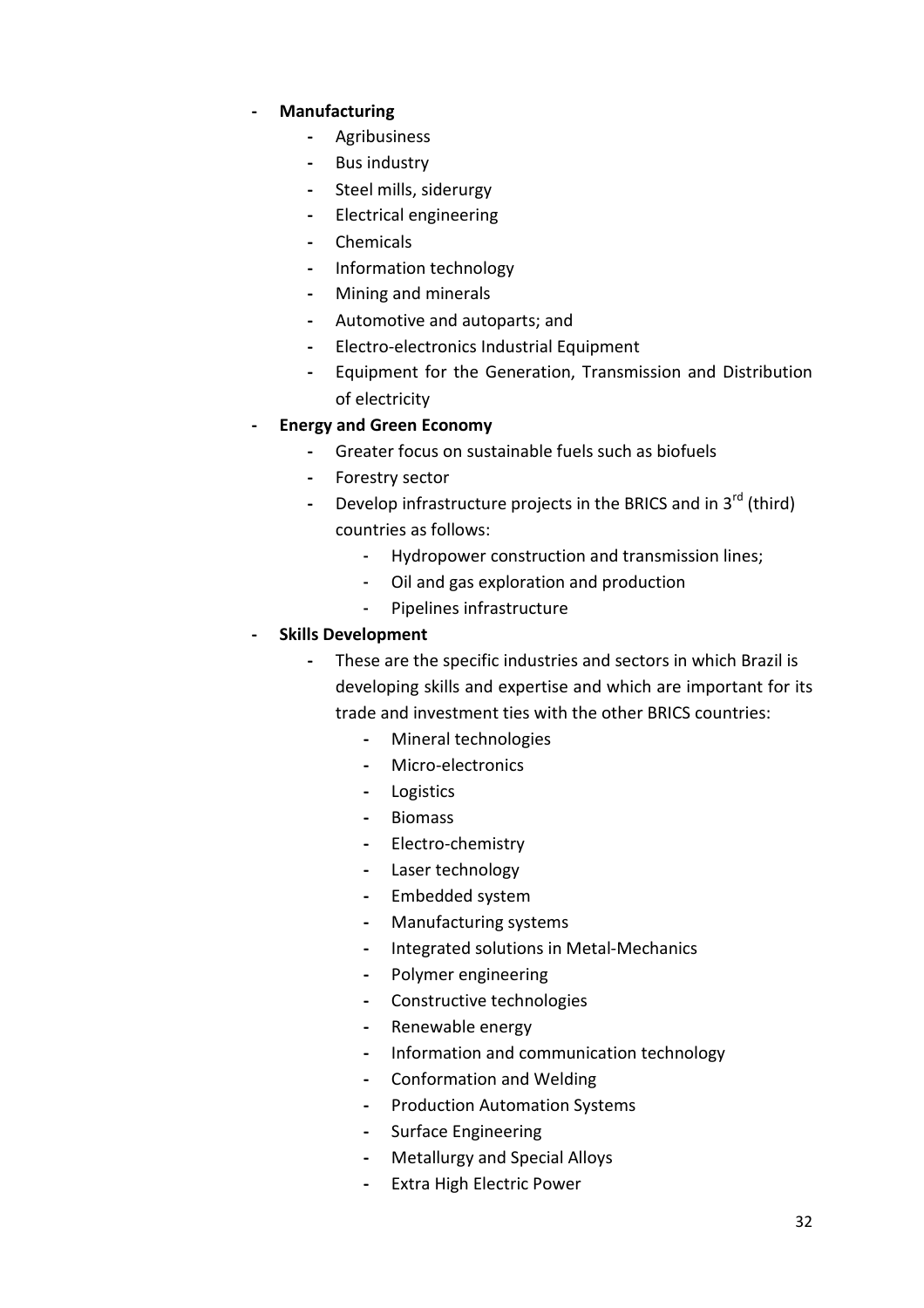#### **Manufacturing**

- Agribusiness
- Bus industry
- Steel mills, siderurgy
- Electrical engineering
- Chemicals
- Information technology
- Mining and minerals
- Automotive and autoparts; and
- Electro-electronics Industrial Equipment
- Equipment for the Generation, Transmission and Distribution of electricity

#### - Energy and Green Economy

- Greater focus on sustainable fuels such as biofuels
- Forestry sector
- Develop infrastructure projects in the BRICS and in  $3<sup>rd</sup>$  (third) countries as follows:
	- Hydropower construction and transmission lines;
	- Oil and gas exploration and production
	- Pipelines infrastructure

#### - Skills Development

- These are the specific industries and sectors in which Brazil is developing skills and expertise and which are important for its trade and investment ties with the other BRICS countries:
	- Mineral technologies
	- Micro-electronics
	- Logistics
	- Biomass
	- Electro-chemistry
	- Laser technology
	- Embedded system
	- Manufacturing systems
	- Integrated solutions in Metal-Mechanics
	- Polymer engineering
	- Constructive technologies
	- Renewable energy
	- Information and communication technology
	- Conformation and Welding
	- Production Automation Systems
	- Surface Engineering
	- Metallurgy and Special Alloys
	- Extra High Electric Power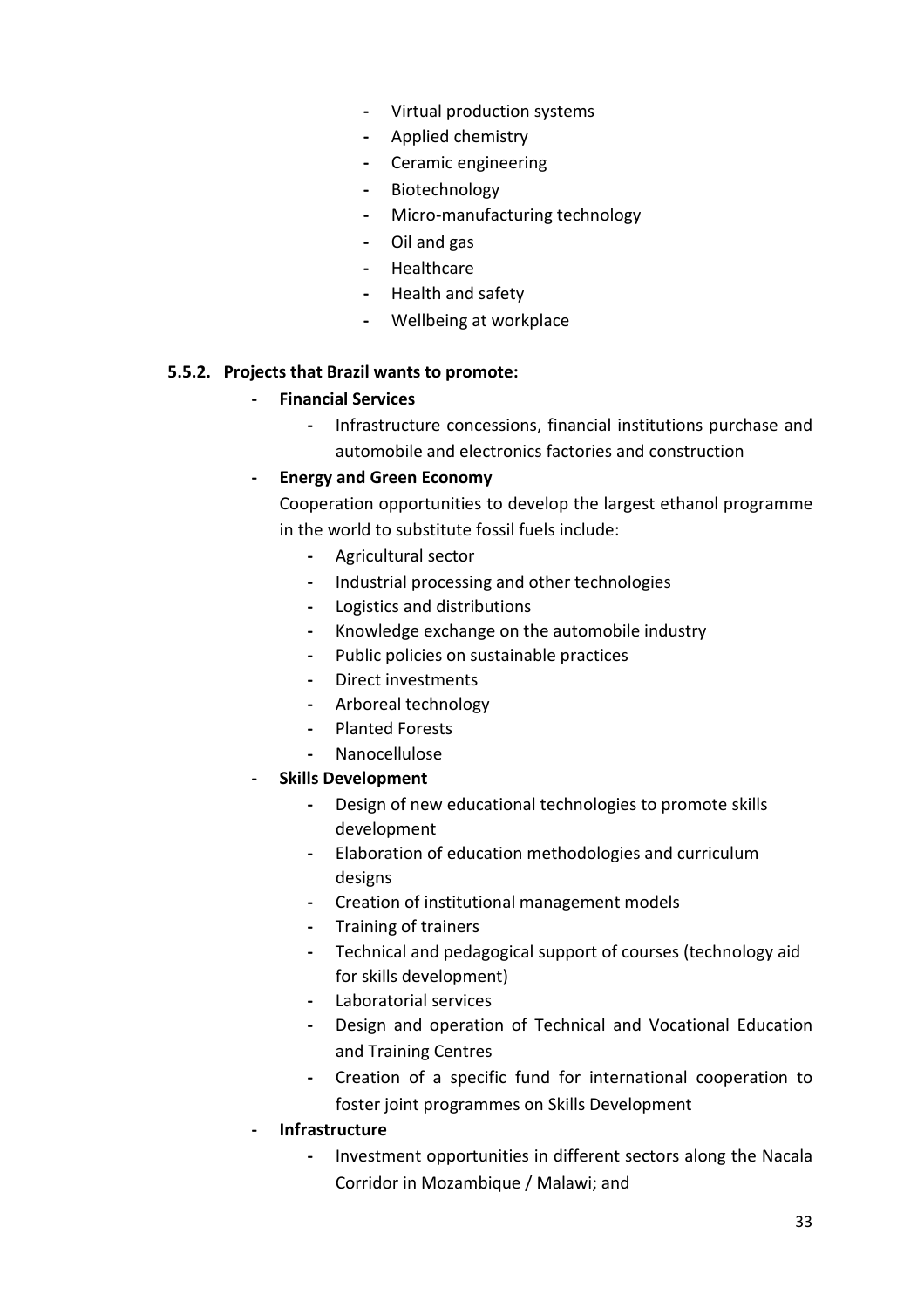- Virtual production systems
- Applied chemistry
- Ceramic engineering
- Biotechnology
- Micro-manufacturing technology
- Oil and gas
- Healthcare
- Health and safety
- Wellbeing at workplace

#### 5.5.2. Projects that Brazil wants to promote:

#### - Financial Services

- Infrastructure concessions, financial institutions purchase and automobile and electronics factories and construction

#### - Energy and Green Economy

Cooperation opportunities to develop the largest ethanol programme in the world to substitute fossil fuels include:

- Agricultural sector
- Industrial processing and other technologies
- Logistics and distributions
- Knowledge exchange on the automobile industry
- Public policies on sustainable practices
- Direct investments
- Arboreal technology
- Planted Forests
- Nanocellulose
- Skills Development
	- Design of new educational technologies to promote skills development
	- Elaboration of education methodologies and curriculum designs
	- Creation of institutional management models
	- Training of trainers
	- Technical and pedagogical support of courses (technology aid for skills development)
	- Laboratorial services
	- Design and operation of Technical and Vocational Education and Training Centres
	- Creation of a specific fund for international cooperation to foster joint programmes on Skills Development
- **Infrastructure** 
	- Investment opportunities in different sectors along the Nacala Corridor in Mozambique / Malawi; and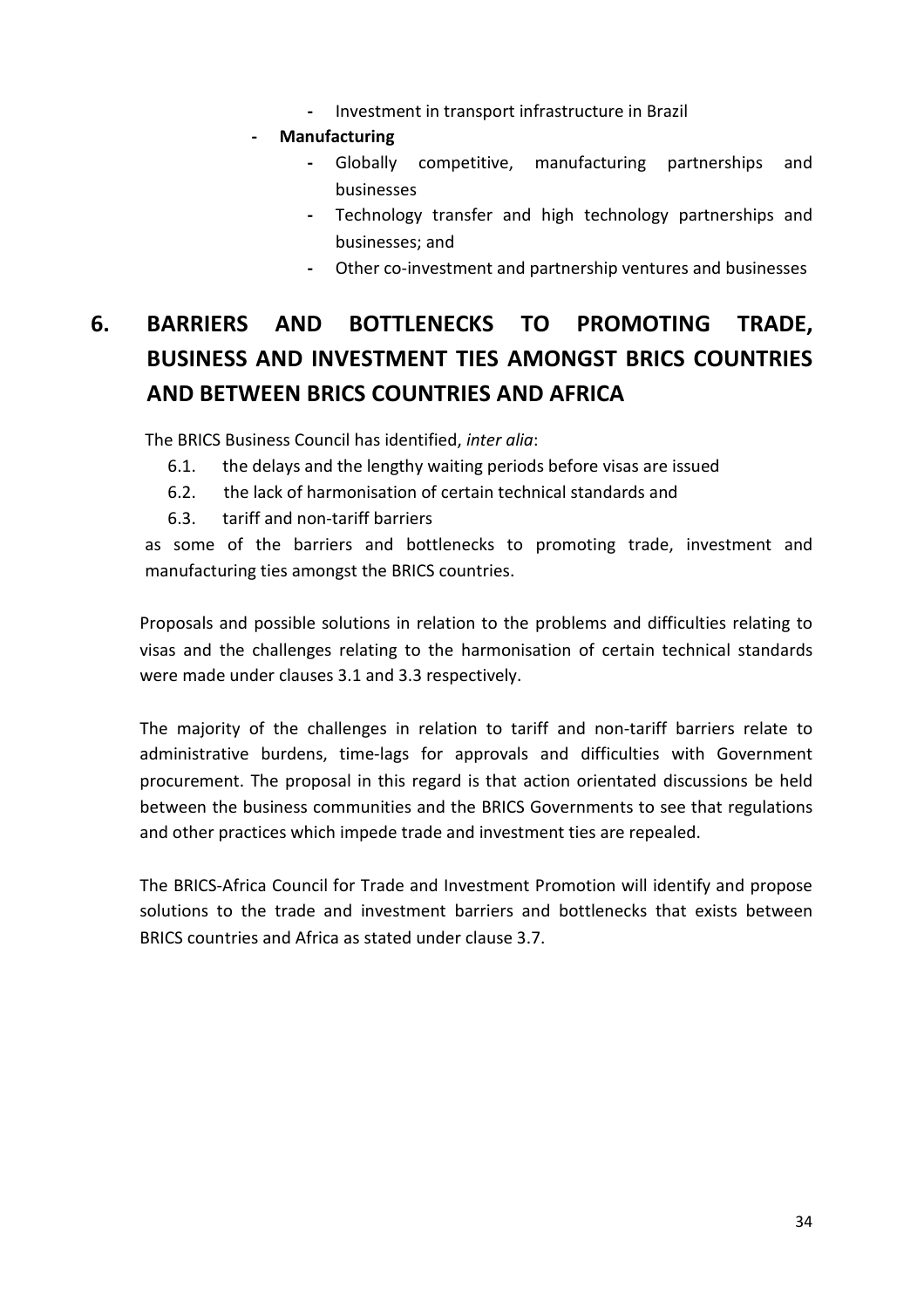- Investment in transport infrastructure in Brazil
- **Manufacturing** 
	- Globally competitive, manufacturing partnerships and businesses
	- Technology transfer and high technology partnerships and businesses; and
	- Other co-investment and partnership ventures and businesses

# 6. BARRIERS AND BOTTLENECKS TO PROMOTING TRADE, BUSINESS AND INVESTMENT TIES AMONGST BRICS COUNTRIES AND BETWEEN BRICS COUNTRIES AND AFRICA

The BRICS Business Council has identified, inter alia:

- 6.1. the delays and the lengthy waiting periods before visas are issued
- 6.2. the lack of harmonisation of certain technical standards and
- 6.3. tariff and non-tariff barriers

as some of the barriers and bottlenecks to promoting trade, investment and manufacturing ties amongst the BRICS countries.

Proposals and possible solutions in relation to the problems and difficulties relating to visas and the challenges relating to the harmonisation of certain technical standards were made under clauses 3.1 and 3.3 respectively.

The majority of the challenges in relation to tariff and non-tariff barriers relate to administrative burdens, time-lags for approvals and difficulties with Government procurement. The proposal in this regard is that action orientated discussions be held between the business communities and the BRICS Governments to see that regulations and other practices which impede trade and investment ties are repealed.

The BRICS-Africa Council for Trade and Investment Promotion will identify and propose solutions to the trade and investment barriers and bottlenecks that exists between BRICS countries and Africa as stated under clause 3.7.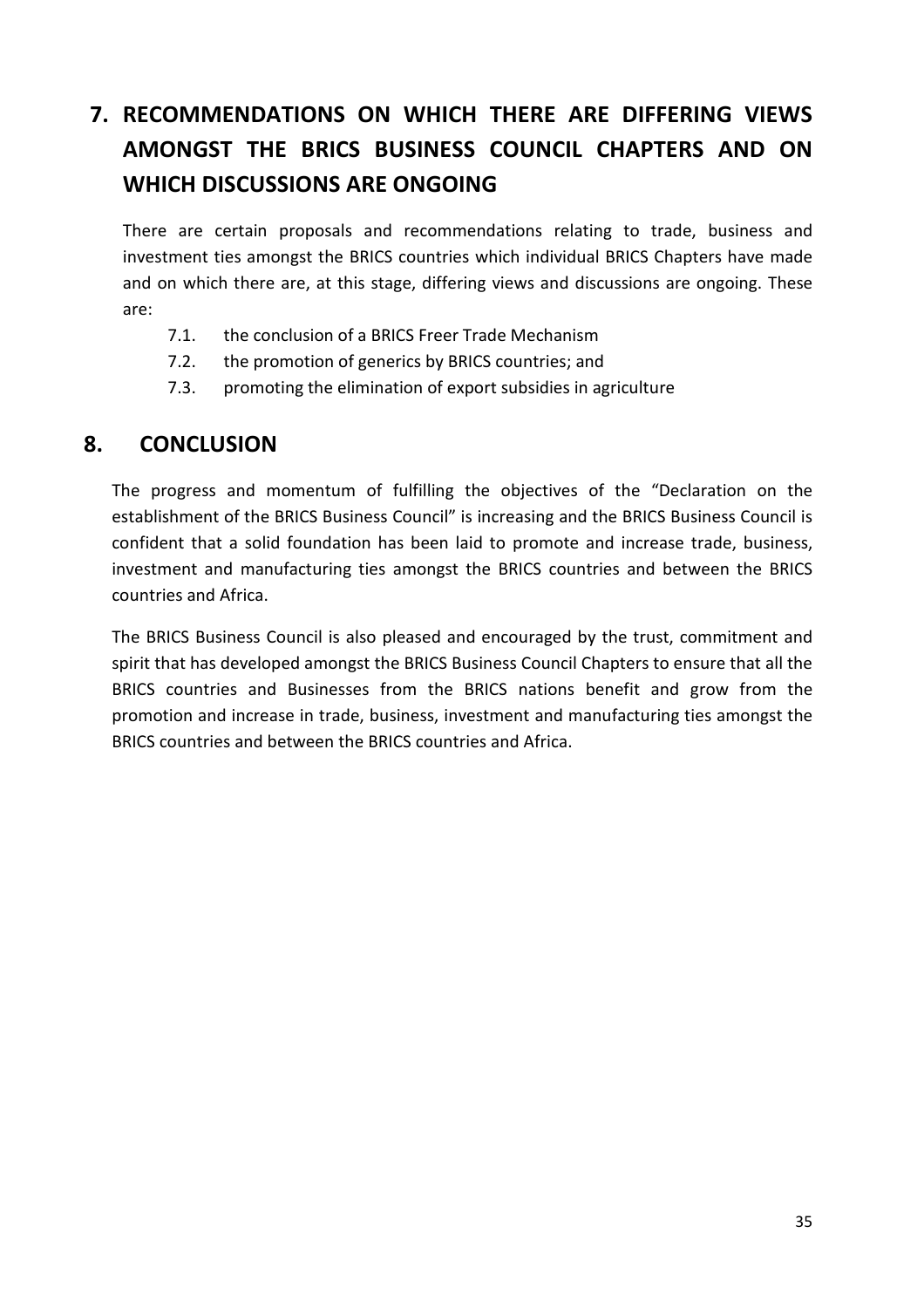# 7. RECOMMENDATIONS ON WHICH THERE ARE DIFFERING VIEWS AMONGST THE BRICS BUSINESS COUNCIL CHAPTERS AND ON WHICH DISCUSSIONS ARE ONGOING

There are certain proposals and recommendations relating to trade, business and investment ties amongst the BRICS countries which individual BRICS Chapters have made and on which there are, at this stage, differing views and discussions are ongoing. These are:

- 7.1. the conclusion of a BRICS Freer Trade Mechanism
- 7.2. the promotion of generics by BRICS countries; and
- 7.3. promoting the elimination of export subsidies in agriculture

# 8. CONCLUSION

The progress and momentum of fulfilling the objectives of the "Declaration on the establishment of the BRICS Business Council" is increasing and the BRICS Business Council is confident that a solid foundation has been laid to promote and increase trade, business, investment and manufacturing ties amongst the BRICS countries and between the BRICS countries and Africa.

The BRICS Business Council is also pleased and encouraged by the trust, commitment and spirit that has developed amongst the BRICS Business Council Chapters to ensure that all the BRICS countries and Businesses from the BRICS nations benefit and grow from the promotion and increase in trade, business, investment and manufacturing ties amongst the BRICS countries and between the BRICS countries and Africa.